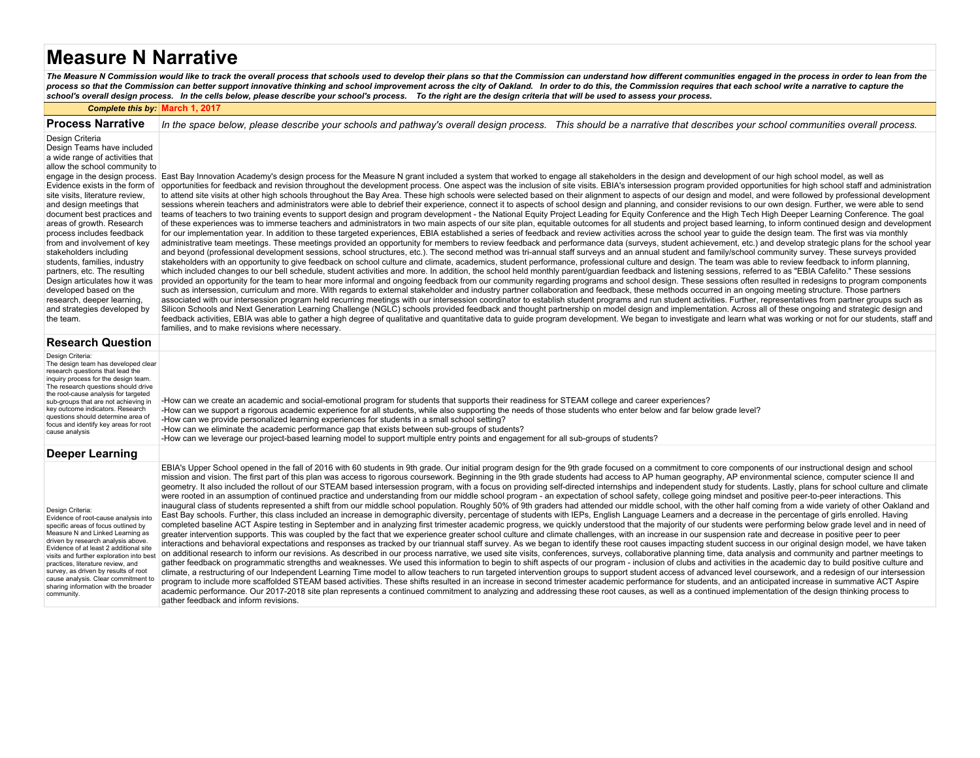# **Measure N Narrative**

The Measure N Commission would like to track the overall process that schools used to develop their plans so that the Commission can understand how different communities engaged in the process in order to lean from the<br>pro

#### *Complete this by:* **March 1, 2017**

| <b>Process Narrative</b>                                                                                                                                                                                                                                                                                                                                                                                                                                                                                                                                                  | In the space below, please describe your schools and pathway's overall design process. This should be a narrative that describes your school communities overall process.                                                                                                                                                                                                                                                                                                                                                                                                                                                                                                                                                                                                                                                                                                                                                                                                                                                                                                                                                                                                                                                                                                                                                                                                                                                                                                                                                                                                                                                                                                                                                                                                                                                                                                                                                                                                                                                                                                                                                                                                                                                                                                                                                                                                                                                                                                                                                                                                                                                                                                                                                                                                                                                                                                                                                                                                                                                                                                                                                                                                                                                                                                                                                                                                                                                                                                                                                                           |
|---------------------------------------------------------------------------------------------------------------------------------------------------------------------------------------------------------------------------------------------------------------------------------------------------------------------------------------------------------------------------------------------------------------------------------------------------------------------------------------------------------------------------------------------------------------------------|-----------------------------------------------------------------------------------------------------------------------------------------------------------------------------------------------------------------------------------------------------------------------------------------------------------------------------------------------------------------------------------------------------------------------------------------------------------------------------------------------------------------------------------------------------------------------------------------------------------------------------------------------------------------------------------------------------------------------------------------------------------------------------------------------------------------------------------------------------------------------------------------------------------------------------------------------------------------------------------------------------------------------------------------------------------------------------------------------------------------------------------------------------------------------------------------------------------------------------------------------------------------------------------------------------------------------------------------------------------------------------------------------------------------------------------------------------------------------------------------------------------------------------------------------------------------------------------------------------------------------------------------------------------------------------------------------------------------------------------------------------------------------------------------------------------------------------------------------------------------------------------------------------------------------------------------------------------------------------------------------------------------------------------------------------------------------------------------------------------------------------------------------------------------------------------------------------------------------------------------------------------------------------------------------------------------------------------------------------------------------------------------------------------------------------------------------------------------------------------------------------------------------------------------------------------------------------------------------------------------------------------------------------------------------------------------------------------------------------------------------------------------------------------------------------------------------------------------------------------------------------------------------------------------------------------------------------------------------------------------------------------------------------------------------------------------------------------------------------------------------------------------------------------------------------------------------------------------------------------------------------------------------------------------------------------------------------------------------------------------------------------------------------------------------------------------------------------------------------------------------------------------------------------------------------|
| Design Criteria<br>Design Teams have included<br>a wide range of activities that<br>allow the school community to<br>Evidence exists in the form of<br>site visits, literature review,<br>and design meetings that<br>document best practices and<br>areas of growth. Research<br>process includes feedback<br>from and involvement of key<br>stakeholders including<br>students, families, industry<br>partners, etc. The resulting<br>Design articulates how it was<br>developed based on the<br>research, deeper learning,<br>and strategies developed by<br>the team. | engage in the design process. East Bay Innovation Academy's design process for the Measure N grant included a system that worked to engage all stakeholders in the design and development of our high school model, as well as<br>opportunities for feedback and revision throughout the development process. One aspect was the inclusion of site visits. EBIA's intersession program provided opportunities for high school staff and administration<br>to attend site visits at other high schools throughout the Bay Area. These high schools were selected based on their alignment to aspects of our design and model, and were followed by professional development<br>sessions wherein teachers and administrators were able to debrief their experience, connect it to aspects of school design and planning, and consider revisions to our own design. Further, we were able to send<br>teams of teachers to two training events to support design and program development - the National Equity Project Leading for Equity Conference and the High Tech High Deeper Learning Conference. The goal<br>of these experiences was to immerse teachers and administrators in two main aspects of our site plan, equitable outcomes for all students and project based learning, to inform continued design and development<br>for our implementation year. In addition to these targeted experiences, EBIA established a series of feedback and review activities across the school year to quide the design team. The first was via monthly<br>administrative team meetings. These meetings provided an opportunity for members to review feedback and performance data (surveys, student achievement, etc.) and develop strategic plans for the school year<br>and beyond (professional development sessions, school structures, etc.). The second method was tri-annual staff surveys and an annual student and family/school community survey. These surveys provided<br>stakeholders with an opportunity to give feedback on school culture and climate, academics, student performance, professional culture and design. The team was able to review feedback to inform planning,<br>which included changes to our bell schedule, student activities and more. In addition, the school held monthly parent/guardian feedback and listening sessions, referred to as "EBIA Cafelito." These sessions<br>provided an opportunity for the team to hear more informal and ongoing feedback from our community regarding programs and school design. These sessions often resulted in redesigns to program components<br>such as intersession, curriculum and more. With regards to external stakeholder and industry partner collaboration and feedback, these methods occurred in an ongoing meeting structure. Those partners<br>associated with our intersession program held recurring meetings with our intersession coordinator to establish student programs and run student activities. Further, representatives from partner groups such as<br>Silicon Schools and Next Generation Learning Challenge (NGLC) schools provided feedback and thought partnership on model design and implementation. Across all of these ongoing and strategic design and<br>feedback activities, EBIA was able to gather a high degree of qualitative and quantitative data to guide program development. We began to investigate and learn what was working or not for our students, staff and<br>families, and to make revisions where necessary. |
| <b>Research Question</b>                                                                                                                                                                                                                                                                                                                                                                                                                                                                                                                                                  |                                                                                                                                                                                                                                                                                                                                                                                                                                                                                                                                                                                                                                                                                                                                                                                                                                                                                                                                                                                                                                                                                                                                                                                                                                                                                                                                                                                                                                                                                                                                                                                                                                                                                                                                                                                                                                                                                                                                                                                                                                                                                                                                                                                                                                                                                                                                                                                                                                                                                                                                                                                                                                                                                                                                                                                                                                                                                                                                                                                                                                                                                                                                                                                                                                                                                                                                                                                                                                                                                                                                                     |
| Design Criteria:<br>The design team has developed clear<br>research questions that lead the<br>inquiry process for the design team.<br>The research questions should drive<br>the root-cause analysis for targeted<br>sub-groups that are not achieving in<br>key outcome indicators. Research<br>questions should determine area of<br>focus and identify key areas for root<br>cause analysis                                                                                                                                                                           | -How can we create an academic and social-emotional program for students that supports their readiness for STEAM college and career experiences?<br>-How can we support a rigorous academic experience for all students, while also supporting the needs of those students who enter below and far below grade level?<br>-How can we provide personalized learning experiences for students in a small school setting?<br>-How can we eliminate the academic performance gap that exists between sub-groups of students?<br>-How can we leverage our project-based learning model to support multiple entry points and engagement for all sub-groups of students?                                                                                                                                                                                                                                                                                                                                                                                                                                                                                                                                                                                                                                                                                                                                                                                                                                                                                                                                                                                                                                                                                                                                                                                                                                                                                                                                                                                                                                                                                                                                                                                                                                                                                                                                                                                                                                                                                                                                                                                                                                                                                                                                                                                                                                                                                                                                                                                                                                                                                                                                                                                                                                                                                                                                                                                                                                                                                   |
| <b>Deeper Learning</b>                                                                                                                                                                                                                                                                                                                                                                                                                                                                                                                                                    |                                                                                                                                                                                                                                                                                                                                                                                                                                                                                                                                                                                                                                                                                                                                                                                                                                                                                                                                                                                                                                                                                                                                                                                                                                                                                                                                                                                                                                                                                                                                                                                                                                                                                                                                                                                                                                                                                                                                                                                                                                                                                                                                                                                                                                                                                                                                                                                                                                                                                                                                                                                                                                                                                                                                                                                                                                                                                                                                                                                                                                                                                                                                                                                                                                                                                                                                                                                                                                                                                                                                                     |
| Design Criteria:<br>Evidence of root-cause analysis into<br>specific areas of focus outlined by<br>Measure N and Linked Learning as<br>driven by research analysis above.<br>Evidence of at least 2 additional site<br>visits and further exploration into best<br>practices, literature review, and<br>survey, as driven by results of root<br>cause analysis. Clear commitment to<br>sharing information with the broader<br>community.                                                                                                                                 | EBIA's Upper School opened in the fall of 2016 with 60 students in 9th grade. Our initial program design for the 9th grade focused on a commitment to core components of our instructional design and school<br>mission and vision. The first part of this plan was access to rigorous coursework. Beginning in the 9th grade students had access to AP human geography, AP environmental science, computer science II and<br>geometry. It also included the rollout of our STEAM based intersession program, with a focus on providing self-directed internships and independent study for students. Lastly, plans for school culture and climate<br>were rooted in an assumption of continued practice and understanding from our middle school program - an expectation of school safety, college going mindset and positive peer-to-peer interactions. This<br>inaugural class of students represented a shift from our middle school population. Roughly 50% of 9th graders had attended our middle school, with the other half coming from a wide variety of other Oakland and<br>East Bay schools. Further, this class included an increase in demographic diversity, percentage of students with IEPs, English Language Learners and a decrease in the percentage of girls enrolled. Having<br>completed baseline ACT Aspire testing in September and in analyzing first trimester academic progress, we quickly understood that the majority of our students were performing below grade level and in need of<br>greater intervention supports. This was coupled by the fact that we experience greater school culture and climate challenges, with an increase in our suspension rate and decrease in positive peer to peer<br>interactions and behavioral expectations and responses as tracked by our triannual staff survey. As we began to identify these root causes impacting student success in our original design model, we have taken<br>on additional research to inform our revisions. As described in our process narrative, we used site visits, conferences, surveys, collaborative planning time, data analysis and community and partner meetings to<br>gather feedback on programmatic strengths and weaknesses. We used this information to begin to shift aspects of our program - inclusion of clubs and activities in the academic day to build positive culture and<br>climate, a restructuring of our Independent Learning Time model to allow teachers to run targeted intervention groups to support student access of advanced level coursework, and a redesign of our intersession<br>program to include more scaffolded STEAM based activities. These shifts resulted in an increase in second trimester academic performance for students, and an anticipated increase in summative ACT Aspire<br>academic performance. Our 2017-2018 site plan represents a continued commitment to analyzing and addressing these root causes, as well as a continued implementation of the design thinking process to<br>gather feedback and inform revisions.                                                                                                                                                                                                                                                                                                                                                                                                                                                           |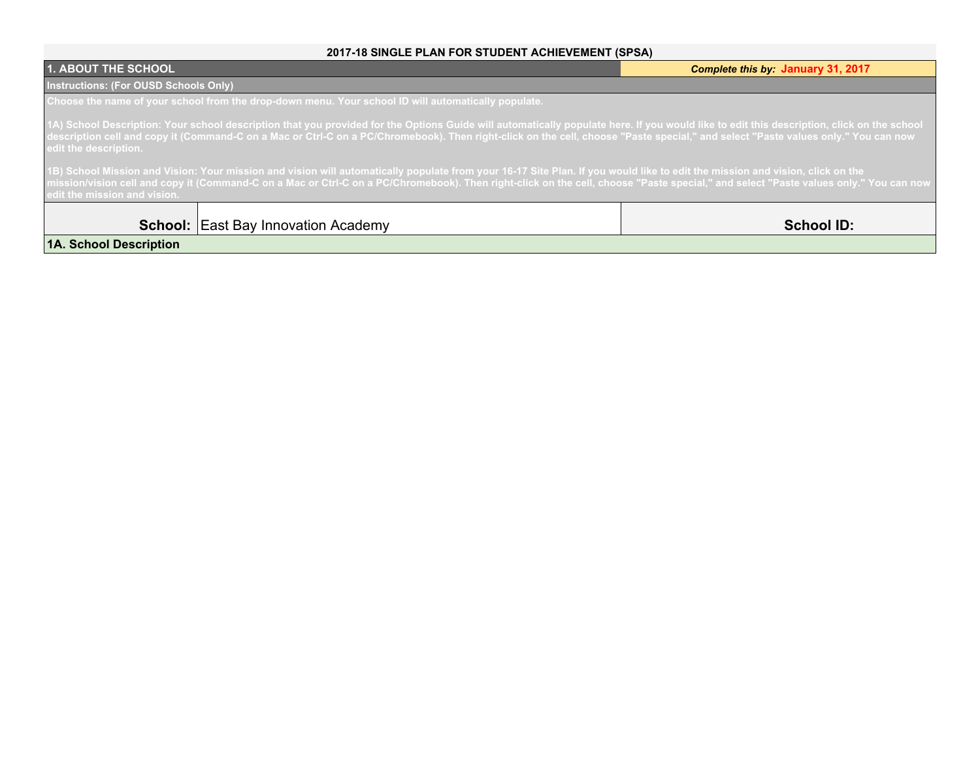### **2017-18 SINGLE PLAN FOR STUDENT ACHIEVEMENT (SPSA)**

| <b>1. ABOUT THE SCHOOL</b>                                                                                                                                                                                                                                                                                                                                                                              | Complete this by: January 31, 2017 |
|---------------------------------------------------------------------------------------------------------------------------------------------------------------------------------------------------------------------------------------------------------------------------------------------------------------------------------------------------------------------------------------------------------|------------------------------------|
| <b>Instructions: (For OUSD Schools Only)</b>                                                                                                                                                                                                                                                                                                                                                            |                                    |
| Choose the name of your school from the drop-down menu. Your school ID will automatically populate.                                                                                                                                                                                                                                                                                                     |                                    |
| 1A) School Description: Your school description that you provided for the Options Guide will automatically populate here. If you would like to edit this description, click on the school<br>description cell and copy it (Command-C on a Mac or Ctrl-C on a PC/Chromebook). Then right-click on the cell, choose "Paste special," and select "Paste values only." You can now<br>edit the description. |                                    |
| 1B) School Mission and Vision: Your mission and vision will automatically populate from your 16-17 Site Plan. If you would like to edit the mission and vision, click on the<br>mission/vision cell and copy it (Command-C on a Mac or Ctrl-C on a PC/Chromebook). Then right-click on the cell, choose "Paste special," and select "Paste values only." You can now<br>edit the mission and vision.    |                                    |
| <b>School:</b> East Bay Innovation Academy                                                                                                                                                                                                                                                                                                                                                              | <b>School ID:</b>                  |
| 1A. School Description                                                                                                                                                                                                                                                                                                                                                                                  |                                    |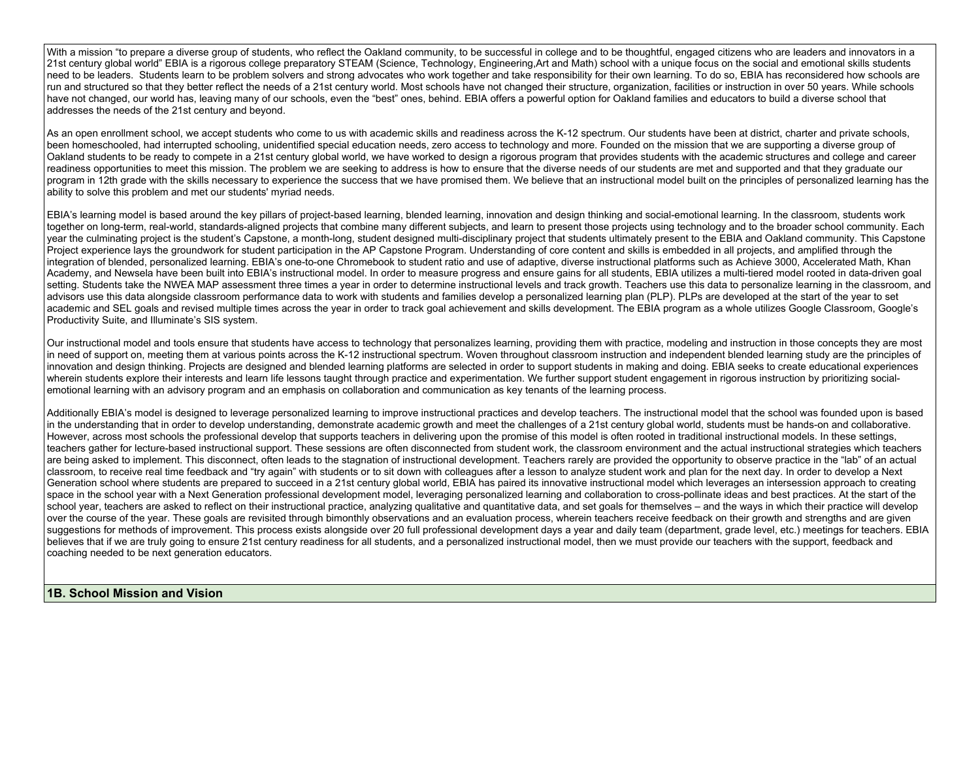With a mission "to prepare a diverse group of students, who reflect the Oakland community, to be successful in college and to be thoughtful, engaged citizens who are leaders and innovators in a 21st century global world" EBIA is a rigorous college preparatory STEAM (Science, Technology, Engineering,Art and Math) school with a unique focus on the social and emotional skills students need to be leaders. Students learn to be problem solvers and strong advocates who work together and take responsibility for their own learning. To do so, EBIA has reconsidered how schools are run and structured so that they better reflect the needs of a 21st century world. Most schools have not changed their structure, organization, facilities or instruction in over 50 years. While schools have not changed, our world has, leaving many of our schools, even the "best" ones, behind. EBIA offers a powerful option for Oakland families and educators to build a diverse school that addresses the needs of the 21st century and beyond.

As an open enrollment school, we accept students who come to us with academic skills and readiness across the K-12 spectrum. Our students have been at district, charter and private schools, been homeschooled, had interrupted schooling, unidentified special education needs, zero access to technology and more. Founded on the mission that we are supporting a diverse group of Oakland students to be ready to compete in a 21st century global world, we have worked to design a rigorous program that provides students with the academic structures and college and career readiness opportunities to meet this mission. The problem we are seeking to address is how to ensure that the diverse needs of our students are met and supported and that they graduate our program in 12th grade with the skills necessary to experience the success that we have promised them. We believe that an instructional model built on the principles of personalized learning has the ability to solve this problem and met our students' myriad needs.

EBIA's learning model is based around the key pillars of project-based learning, blended learning, innovation and design thinking and social-emotional learning. In the classroom, students work together on long-term, real-world, standards-aligned projects that combine many different subjects, and learn to present those projects using technology and to the broader school community. Each year the culminating project is the student's Capstone, a month-long, student designed multi-disciplinary project that students ultimately present to the EBIA and Oakland community. This Capstone Project experience lays the groundwork for student participation in the AP Capstone Program. Understanding of core content and skills is embedded in all projects, and amplified through the integration of blended, personalized learning. EBIA's one-to-one Chromebook to student ratio and use of adaptive, diverse instructional platforms such as Achieve 3000, Accelerated Math, Khan Academy, and Newsela have been built into EBIA's instructional model. In order to measure progress and ensure gains for all students, EBIA utilizes a multi-tiered model rooted in data-driven goal setting. Students take the NWEA MAP assessment three times a year in order to determine instructional levels and track growth. Teachers use this data to personalize learning in the classroom, and advisors use this data alongside classroom performance data to work with students and families develop a personalized learning plan (PLP). PLPs are developed at the start of the year to set academic and SEL goals and revised multiple times across the year in order to track goal achievement and skills development. The EBIA program as a whole utilizes Google Classroom, Google's Productivity Suite, and Illuminate's SIS system.

Our instructional model and tools ensure that students have access to technology that personalizes learning, providing them with practice, modeling and instruction in those concepts they are most in need of support on, meeting them at various points across the K-12 instructional spectrum. Woven throughout classroom instruction and independent blended learning study are the principles of innovation and design thinking. Projects are designed and blended learning platforms are selected in order to support students in making and doing. EBIA seeks to create educational experiences wherein students explore their interests and learn life lessons taught through practice and experimentation. We further support student engagement in rigorous instruction by prioritizing socialemotional learning with an advisory program and an emphasis on collaboration and communication as key tenants of the learning process.

Additionally EBIA's model is designed to leverage personalized learning to improve instructional practices and develop teachers. The instructional model that the school was founded upon is based in the understanding that in order to develop understanding, demonstrate academic growth and meet the challenges of a 21st century global world, students must be hands-on and collaborative. However, across most schools the professional develop that supports teachers in delivering upon the promise of this model is often rooted in traditional instructional models. In these settings, teachers gather for lecture-based instructional support. These sessions are often disconnected from student work, the classroom environment and the actual instructional strategies which teachers are being asked to implement. This disconnect, often leads to the stagnation of instructional development. Teachers rarely are provided the opportunity to observe practice in the "lab" of an actual classroom, to receive real time feedback and "try again" with students or to sit down with colleagues after a lesson to analyze student work and plan for the next day. In order to develop a Next Generation school where students are prepared to succeed in a 21st century global world, EBIA has paired its innovative instructional model which leverages an intersession approach to creating space in the school year with a Next Generation professional development model, leveraging personalized learning and collaboration to cross-pollinate ideas and best practices. At the start of the school year, teachers are asked to reflect on their instructional practice, analyzing qualitative and quantitative data, and set goals for themselves – and the ways in which their practice will develop over the course of the year. These goals are revisited through bimonthly observations and an evaluation process, wherein teachers receive feedback on their growth and strengths and are given suggestions for methods of improvement. This process exists alongside over 20 full professional development days a year and daily team (department, grade level, etc.) meetings for teachers. EBIA believes that if we are truly going to ensure 21st century readiness for all students, and a personalized instructional model, then we must provide our teachers with the support, feedback and coaching needed to be next generation educators.

#### **1B. School Mission and Vision**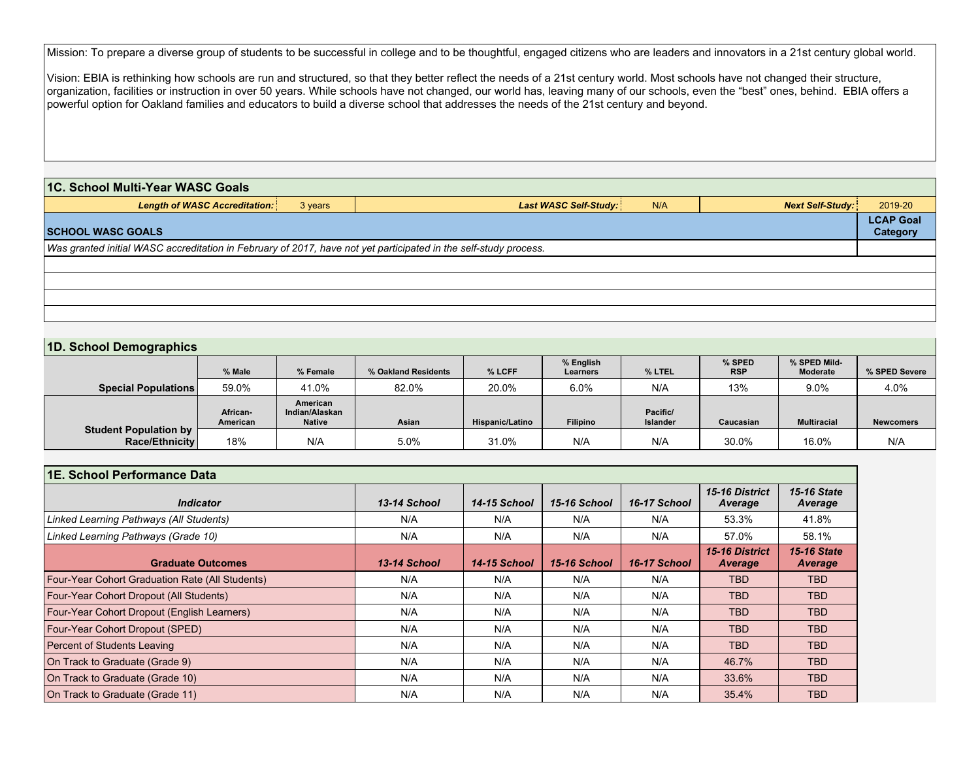Mission: To prepare a diverse group of students to be successful in college and to be thoughtful, engaged citizens who are leaders and innovators in a 21st century global world.

Vision: EBIA is rethinking how schools are run and structured, so that they better reflect the needs of a 21st century world. Most schools have not changed their structure, organization, facilities or instruction in over 50 years. While schools have not changed, our world has, leaving many of our schools, even the "best" ones, behind. EBIA offers a powerful option for Oakland families and educators to build a diverse school that addresses the needs of the 21st century and beyond.

| 1C. School Multi-Year WASC Goals<br><b>Length of WASC Accreditation:</b><br><b>Next Self-Study:</b><br><b>Last WASC Self-Study:</b><br>N/A<br>2019-20<br>3 years |  |  |  |  |  |  |  |
|------------------------------------------------------------------------------------------------------------------------------------------------------------------|--|--|--|--|--|--|--|
|                                                                                                                                                                  |  |  |  |  |  |  |  |
|                                                                                                                                                                  |  |  |  |  |  |  |  |
| <b>LCAP Goal</b><br><b>SCHOOL WASC GOALS</b><br>Category                                                                                                         |  |  |  |  |  |  |  |
| Was granted initial WASC accreditation in February of 2017, have not yet participated in the self-study process.                                                 |  |  |  |  |  |  |  |
|                                                                                                                                                                  |  |  |  |  |  |  |  |
|                                                                                                                                                                  |  |  |  |  |  |  |  |
|                                                                                                                                                                  |  |  |  |  |  |  |  |
|                                                                                                                                                                  |  |  |  |  |  |  |  |

#### **1D. School Demographics**

|                                                | % Male               | % Female                                    | % Oakland Residents | % LCFF                 | % English<br>Learners | % LTEL                      | % SPED<br><b>RSP</b> | % SPED Mild-<br>Moderate | % SPED Severe    |
|------------------------------------------------|----------------------|---------------------------------------------|---------------------|------------------------|-----------------------|-----------------------------|----------------------|--------------------------|------------------|
| <b>Special Populations</b>                     | 59.0%                | 41.0%                                       | 82.0%               | 20.0%                  | 6.0%                  | N/A                         | 13%                  | 9.0%                     | 4.0%             |
|                                                | African-<br>American | American<br>Indian/Alaskan<br><b>Native</b> | Asian               | <b>Hispanic/Latino</b> | <b>Filipino</b>       | Pacific/<br><b>Islander</b> | Caucasian            | <b>Multiracial</b>       | <b>Newcomers</b> |
| <b>Student Population by</b><br>Race/Ethnicity | 18%                  | N/A                                         | 5.0%                | 31.0%                  | N/A                   | N/A                         | 30.0%                | 16.0%                    | N/A              |

| 1E. School Performance Data                            |              |              |              |              |                           |                               |  |
|--------------------------------------------------------|--------------|--------------|--------------|--------------|---------------------------|-------------------------------|--|
| <b>Indicator</b>                                       | 13-14 School | 14-15 School | 15-16 School | 16-17 School | 15-16 District<br>Average | <b>15-16 State</b><br>Average |  |
| Linked Learning Pathways (All Students)                | N/A          | N/A          | N/A          | N/A          | 53.3%                     | 41.8%                         |  |
| Linked Learning Pathways (Grade 10)                    | N/A          | N/A          | N/A          | N/A          | 57.0%                     | 58.1%                         |  |
| <b>Graduate Outcomes</b>                               | 13-14 School | 14-15 School | 15-16 School | 16-17 School | 15-16 District<br>Average | <b>15-16 State</b><br>Average |  |
| <b>Four-Year Cohort Graduation Rate (All Students)</b> | N/A          | N/A          | N/A          | N/A          | <b>TBD</b>                | TBD.                          |  |
| <b>Four-Year Cohort Dropout (All Students)</b>         | N/A          | N/A          | N/A          | N/A          | <b>TBD</b>                | <b>TBD</b>                    |  |
| Four-Year Cohort Dropout (English Learners)            | N/A          | N/A          | N/A          | N/A          | <b>TBD</b>                | <b>TBD</b>                    |  |
| Four-Year Cohort Dropout (SPED)                        | N/A          | N/A          | N/A          | N/A          | <b>TBD</b>                | <b>TBD</b>                    |  |
| <b>Percent of Students Leaving</b>                     | N/A          | N/A          | N/A          | N/A          | <b>TBD</b>                | <b>TBD</b>                    |  |
| On Track to Graduate (Grade 9)                         | N/A          | N/A          | N/A          | N/A          | 46.7%                     | <b>TBD</b>                    |  |
| On Track to Graduate (Grade 10)                        | N/A          | N/A          | N/A          | N/A          | 33.6%                     | <b>TBD</b>                    |  |
| On Track to Graduate (Grade 11)                        | N/A          | N/A          | N/A          | N/A          | 35.4%                     | <b>TBD</b>                    |  |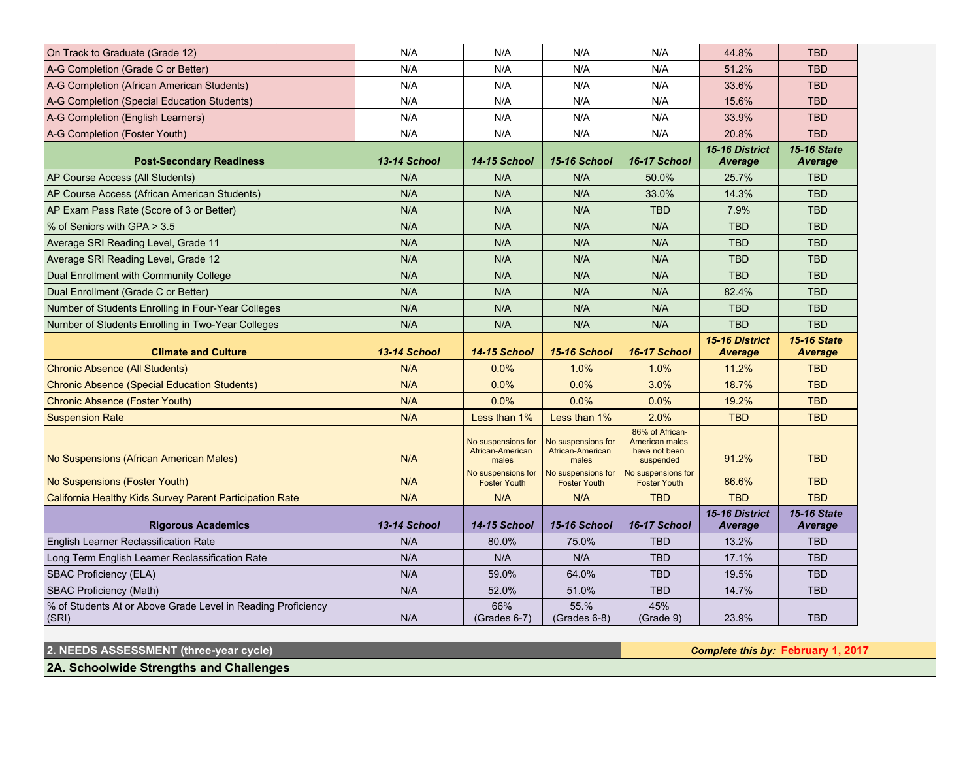| On Track to Graduate (Grade 12)                                                              | N/A                 | N/A                                             | N/A                                             | N/A                                                                    | 44.8%                            | <b>TBD</b>                    |
|----------------------------------------------------------------------------------------------|---------------------|-------------------------------------------------|-------------------------------------------------|------------------------------------------------------------------------|----------------------------------|-------------------------------|
| A-G Completion (Grade C or Better)                                                           | N/A                 | N/A                                             | N/A                                             | N/A                                                                    | 51.2%                            | <b>TBD</b>                    |
| A-G Completion (African American Students)                                                   | N/A                 | N/A                                             | N/A                                             | N/A                                                                    | 33.6%                            | <b>TBD</b>                    |
| A-G Completion (Special Education Students)                                                  | N/A                 | N/A                                             | N/A                                             | N/A                                                                    | 15.6%                            | <b>TBD</b>                    |
| A-G Completion (English Learners)                                                            | N/A                 | N/A                                             | N/A                                             | N/A                                                                    | 33.9%                            | <b>TBD</b>                    |
| A-G Completion (Foster Youth)                                                                | N/A                 | N/A                                             | N/A                                             | N/A                                                                    | 20.8%                            | <b>TBD</b>                    |
| <b>Post-Secondary Readiness</b>                                                              | 13-14 School        | 14-15 School                                    | 15-16 School                                    | 16-17 School                                                           | 15-16 District<br>Average        | <b>15-16 State</b><br>Average |
| AP Course Access (All Students)                                                              | N/A                 | N/A                                             | N/A                                             | 50.0%                                                                  | 25.7%                            | <b>TBD</b>                    |
| AP Course Access (African American Students)                                                 | N/A                 | N/A                                             | N/A                                             | 33.0%                                                                  | 14.3%                            | <b>TBD</b>                    |
| AP Exam Pass Rate (Score of 3 or Better)                                                     | N/A                 | N/A                                             | N/A                                             | <b>TBD</b>                                                             | 7.9%                             | <b>TBD</b>                    |
| % of Seniors with GPA > 3.5                                                                  | N/A                 | N/A                                             | N/A                                             | N/A                                                                    | <b>TBD</b>                       | <b>TBD</b>                    |
| Average SRI Reading Level, Grade 11                                                          | N/A                 | N/A                                             | N/A                                             | N/A                                                                    | <b>TBD</b>                       | <b>TBD</b>                    |
| Average SRI Reading Level, Grade 12                                                          | N/A                 | N/A                                             | N/A                                             | N/A                                                                    | <b>TBD</b>                       | <b>TBD</b>                    |
| Dual Enrollment with Community College                                                       | N/A                 | N/A                                             | N/A                                             | N/A                                                                    | <b>TBD</b>                       | <b>TBD</b>                    |
| Dual Enrollment (Grade C or Better)                                                          | N/A                 | N/A                                             | N/A                                             | N/A                                                                    | 82.4%                            | <b>TBD</b>                    |
| Number of Students Enrolling in Four-Year Colleges                                           | N/A                 | N/A                                             | N/A                                             | N/A                                                                    | <b>TBD</b>                       | <b>TBD</b>                    |
| Number of Students Enrolling in Two-Year Colleges                                            | N/A                 | N/A                                             | N/A                                             | N/A                                                                    | <b>TBD</b>                       | <b>TBD</b>                    |
|                                                                                              |                     |                                                 |                                                 |                                                                        |                                  |                               |
|                                                                                              |                     |                                                 |                                                 |                                                                        | 15-16 District                   | <b>15-16 State</b>            |
| <b>Climate and Culture</b>                                                                   | 13-14 School<br>N/A | 14-15 School<br>0.0%                            | 15-16 School                                    | 16-17 School<br>1.0%                                                   | <b>Average</b><br>11.2%          | <b>Average</b><br><b>TBD</b>  |
| <b>Chronic Absence (All Students)</b><br><b>Chronic Absence (Special Education Students)</b> | N/A                 | 0.0%                                            | 1.0%<br>0.0%                                    | 3.0%                                                                   | 18.7%                            | <b>TBD</b>                    |
| Chronic Absence (Foster Youth)                                                               | N/A                 | 0.0%                                            | 0.0%                                            | 0.0%                                                                   | 19.2%                            | <b>TBD</b>                    |
| <b>Suspension Rate</b>                                                                       | N/A                 | Less than 1%                                    | Less than 1%                                    | 2.0%                                                                   | <b>TBD</b>                       | <b>TBD</b>                    |
| No Suspensions (African American Males)                                                      | N/A                 | No suspensions for<br>African-American<br>males | No suspensions for<br>African-American<br>males | 86% of African-<br><b>American males</b><br>have not been<br>suspended | 91.2%                            | <b>TBD</b>                    |
| No Suspensions (Foster Youth)                                                                | N/A                 | No suspensions for<br><b>Foster Youth</b>       | No suspensions for<br><b>Foster Youth</b>       | No suspensions for<br><b>Foster Youth</b>                              | 86.6%                            | <b>TBD</b>                    |
| California Healthy Kids Survey Parent Participation Rate                                     | N/A                 | N/A                                             | N/A                                             | <b>TBD</b>                                                             | <b>TBD</b>                       | <b>TBD</b>                    |
| <b>Rigorous Academics</b>                                                                    | 13-14 School        | 14-15 School                                    | 15-16 School                                    | 16-17 School                                                           | 15-16 District<br><b>Average</b> | <b>15-16 State</b><br>Average |
| English Learner Reclassification Rate                                                        | N/A                 | 80.0%                                           | 75.0%                                           | <b>TBD</b>                                                             | 13.2%                            | <b>TBD</b>                    |
| Long Term English Learner Reclassification Rate                                              | N/A                 | N/A                                             | N/A                                             | <b>TBD</b>                                                             | 17.1%                            | <b>TBD</b>                    |
| <b>SBAC Proficiency (ELA)</b>                                                                | N/A                 | 59.0%                                           | 64.0%                                           | <b>TBD</b>                                                             | 19.5%                            | <b>TBD</b>                    |
| <b>SBAC Proficiency (Math)</b>                                                               | N/A                 | 52.0%                                           | 51.0%                                           | <b>TBD</b>                                                             | 14.7%                            | <b>TBD</b>                    |

**2. NEEDS ASSESSMENT (three-year cycle)** *Complete this by:* **February 1, 2017**

**2A. Schoolwide Strengths and Challenges**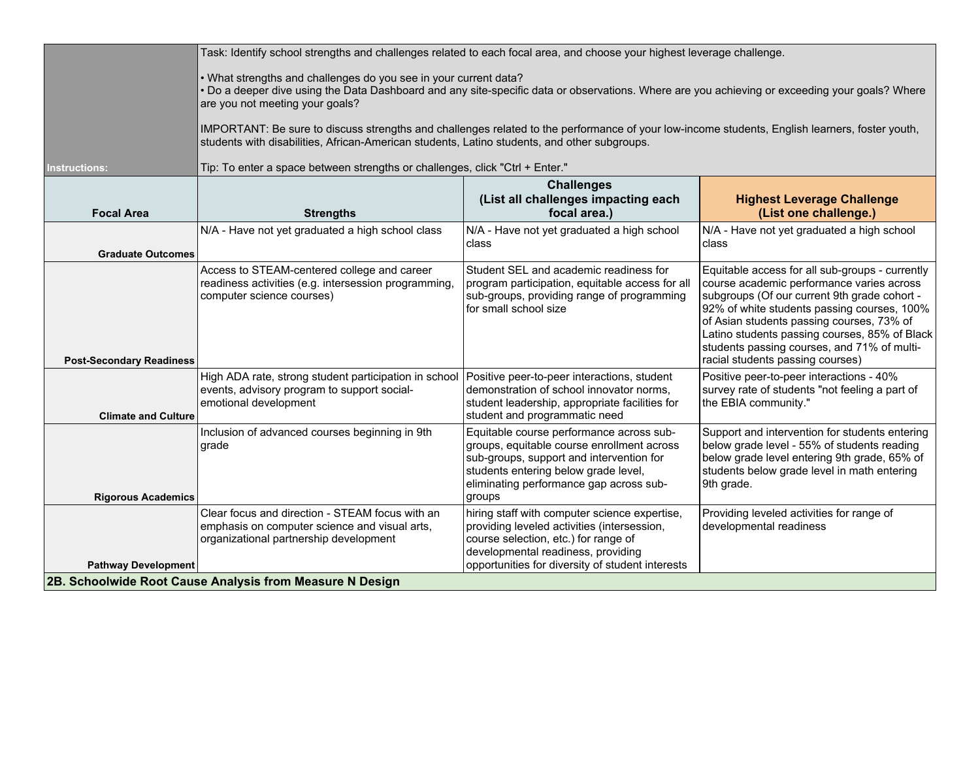|                                 | Task: Identify school strengths and challenges related to each focal area, and choose your highest leverage challenge.                                                                                                                                                                                                                                                                                                                               |                                                                                                                                                                                                                                 |                                                                                                                                                                                                                                                                                                                                                                              |  |  |  |  |
|---------------------------------|------------------------------------------------------------------------------------------------------------------------------------------------------------------------------------------------------------------------------------------------------------------------------------------------------------------------------------------------------------------------------------------------------------------------------------------------------|---------------------------------------------------------------------------------------------------------------------------------------------------------------------------------------------------------------------------------|------------------------------------------------------------------------------------------------------------------------------------------------------------------------------------------------------------------------------------------------------------------------------------------------------------------------------------------------------------------------------|--|--|--|--|
|                                 | . What strengths and challenges do you see in your current data?<br>• Do a deeper dive using the Data Dashboard and any site-specific data or observations. Where are you achieving or exceeding your goals? Where<br>are you not meeting your goals?                                                                                                                                                                                                |                                                                                                                                                                                                                                 |                                                                                                                                                                                                                                                                                                                                                                              |  |  |  |  |
|                                 | IMPORTANT: Be sure to discuss strengths and challenges related to the performance of your low-income students, English learners, foster youth,<br>students with disabilities, African-American students, Latino students, and other subgroups.                                                                                                                                                                                                       |                                                                                                                                                                                                                                 |                                                                                                                                                                                                                                                                                                                                                                              |  |  |  |  |
| Instructions:                   | Tip: To enter a space between strengths or challenges, click "Ctrl + Enter."                                                                                                                                                                                                                                                                                                                                                                         |                                                                                                                                                                                                                                 |                                                                                                                                                                                                                                                                                                                                                                              |  |  |  |  |
| <b>Focal Area</b>               | <b>Strengths</b>                                                                                                                                                                                                                                                                                                                                                                                                                                     | <b>Challenges</b><br>(List all challenges impacting each<br>focal area.)                                                                                                                                                        | <b>Highest Leverage Challenge</b><br>(List one challenge.)                                                                                                                                                                                                                                                                                                                   |  |  |  |  |
| <b>Graduate Outcomes</b>        | N/A - Have not yet graduated a high school class                                                                                                                                                                                                                                                                                                                                                                                                     | N/A - Have not yet graduated a high school<br>class                                                                                                                                                                             | N/A - Have not yet graduated a high school<br>class                                                                                                                                                                                                                                                                                                                          |  |  |  |  |
| <b>Post-Secondary Readiness</b> | Access to STEAM-centered college and career<br>readiness activities (e.g. intersession programming,<br>computer science courses)                                                                                                                                                                                                                                                                                                                     | Student SEL and academic readiness for<br>program participation, equitable access for all<br>sub-groups, providing range of programming<br>for small school size                                                                | Equitable access for all sub-groups - currently<br>course academic performance varies across<br>subgroups (Of our current 9th grade cohort -<br>92% of white students passing courses, 100%<br>of Asian students passing courses, 73% of<br>Latino students passing courses, 85% of Black<br>students passing courses, and 71% of multi-<br>racial students passing courses) |  |  |  |  |
| <b>Climate and Culture</b>      | High ADA rate, strong student participation in school<br>events, advisory program to support social-<br>emotional development                                                                                                                                                                                                                                                                                                                        | Positive peer-to-peer interactions, student<br>demonstration of school innovator norms,<br>student leadership, appropriate facilities for<br>student and programmatic need                                                      | Positive peer-to-peer interactions - 40%<br>survey rate of students "not feeling a part of<br>the EBIA community."                                                                                                                                                                                                                                                           |  |  |  |  |
| <b>Rigorous Academics</b>       | Inclusion of advanced courses beginning in 9th<br>grade                                                                                                                                                                                                                                                                                                                                                                                              | Equitable course performance across sub-<br>groups, equitable course enrollment across<br>sub-groups, support and intervention for<br>students entering below grade level,<br>eliminating performance gap across sub-<br>groups | Support and intervention for students entering<br>below grade level - 55% of students reading<br>below grade level entering 9th grade, 65% of<br>students below grade level in math entering<br>9th grade.                                                                                                                                                                   |  |  |  |  |
| <b>Pathway Development</b>      | Clear focus and direction - STEAM focus with an<br>hiring staff with computer science expertise,<br>Providing leveled activities for range of<br>emphasis on computer science and visual arts,<br>providing leveled activities (intersession,<br>developmental readiness<br>organizational partnership development<br>course selection, etc.) for range of<br>developmental readiness, providing<br>opportunities for diversity of student interests |                                                                                                                                                                                                                                 |                                                                                                                                                                                                                                                                                                                                                                              |  |  |  |  |
|                                 | 2B. Schoolwide Root Cause Analysis from Measure N Design                                                                                                                                                                                                                                                                                                                                                                                             |                                                                                                                                                                                                                                 |                                                                                                                                                                                                                                                                                                                                                                              |  |  |  |  |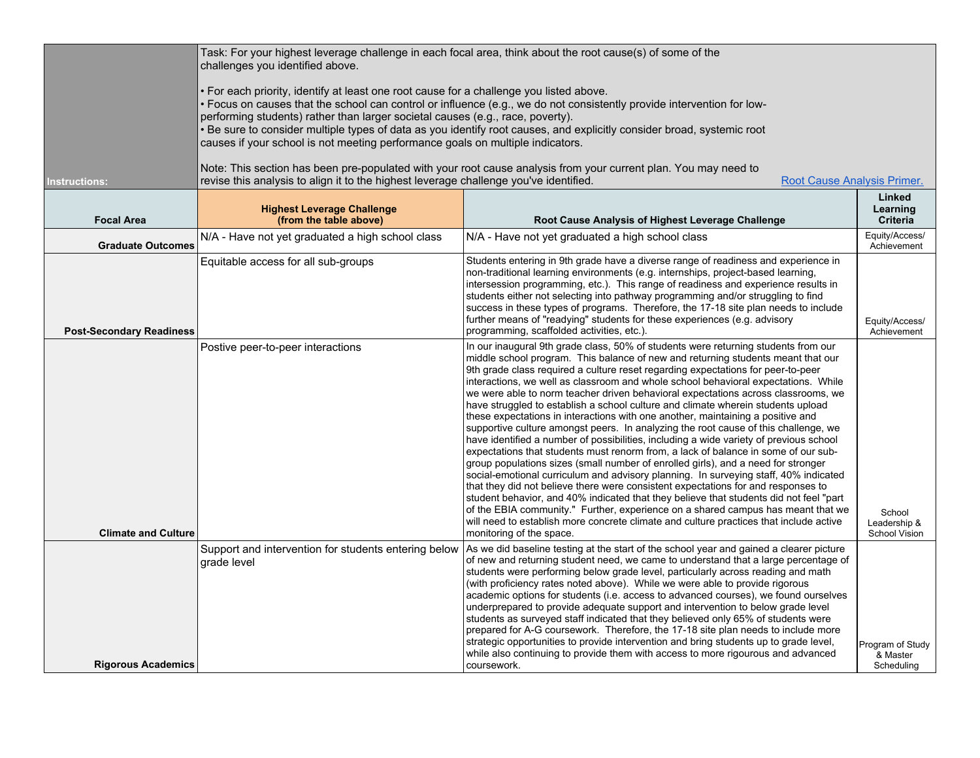|                                 | Task: For your highest leverage challenge in each focal area, think about the root cause(s) of some of the<br>challenges you identified above.                                                                                                                                                                                                                                                                                                                                                                  |                                                                                                                                                                                                                                                                                                                                                                                                                                                                                                                                                                                                                                                                                                                                                                                                                                                                                                                                                                                                                                                                                                                                                                                                                                                                                                                                                                                                                                                           |                                                |  |  |  |  |
|---------------------------------|-----------------------------------------------------------------------------------------------------------------------------------------------------------------------------------------------------------------------------------------------------------------------------------------------------------------------------------------------------------------------------------------------------------------------------------------------------------------------------------------------------------------|-----------------------------------------------------------------------------------------------------------------------------------------------------------------------------------------------------------------------------------------------------------------------------------------------------------------------------------------------------------------------------------------------------------------------------------------------------------------------------------------------------------------------------------------------------------------------------------------------------------------------------------------------------------------------------------------------------------------------------------------------------------------------------------------------------------------------------------------------------------------------------------------------------------------------------------------------------------------------------------------------------------------------------------------------------------------------------------------------------------------------------------------------------------------------------------------------------------------------------------------------------------------------------------------------------------------------------------------------------------------------------------------------------------------------------------------------------------|------------------------------------------------|--|--|--|--|
|                                 | • For each priority, identify at least one root cause for a challenge you listed above.<br>• Focus on causes that the school can control or influence (e.g., we do not consistently provide intervention for low-<br>performing students) rather than larger societal causes (e.g., race, poverty).<br>· Be sure to consider multiple types of data as you identify root causes, and explicitly consider broad, systemic root<br>causes if your school is not meeting performance goals on multiple indicators. |                                                                                                                                                                                                                                                                                                                                                                                                                                                                                                                                                                                                                                                                                                                                                                                                                                                                                                                                                                                                                                                                                                                                                                                                                                                                                                                                                                                                                                                           |                                                |  |  |  |  |
|                                 |                                                                                                                                                                                                                                                                                                                                                                                                                                                                                                                 |                                                                                                                                                                                                                                                                                                                                                                                                                                                                                                                                                                                                                                                                                                                                                                                                                                                                                                                                                                                                                                                                                                                                                                                                                                                                                                                                                                                                                                                           |                                                |  |  |  |  |
|                                 |                                                                                                                                                                                                                                                                                                                                                                                                                                                                                                                 | Note: This section has been pre-populated with your root cause analysis from your current plan. You may need to                                                                                                                                                                                                                                                                                                                                                                                                                                                                                                                                                                                                                                                                                                                                                                                                                                                                                                                                                                                                                                                                                                                                                                                                                                                                                                                                           |                                                |  |  |  |  |
| <b>Instructions:</b>            | revise this analysis to align it to the highest leverage challenge you've identified.                                                                                                                                                                                                                                                                                                                                                                                                                           | <b>Root Cause Analysis Primer.</b>                                                                                                                                                                                                                                                                                                                                                                                                                                                                                                                                                                                                                                                                                                                                                                                                                                                                                                                                                                                                                                                                                                                                                                                                                                                                                                                                                                                                                        | Linked                                         |  |  |  |  |
| <b>Focal Area</b>               | <b>Highest Leverage Challenge</b><br>(from the table above)                                                                                                                                                                                                                                                                                                                                                                                                                                                     | Root Cause Analysis of Highest Leverage Challenge                                                                                                                                                                                                                                                                                                                                                                                                                                                                                                                                                                                                                                                                                                                                                                                                                                                                                                                                                                                                                                                                                                                                                                                                                                                                                                                                                                                                         | Learning<br><b>Criteria</b>                    |  |  |  |  |
| <b>Graduate Outcomes</b>        | N/A - Have not yet graduated a high school class                                                                                                                                                                                                                                                                                                                                                                                                                                                                | N/A - Have not yet graduated a high school class                                                                                                                                                                                                                                                                                                                                                                                                                                                                                                                                                                                                                                                                                                                                                                                                                                                                                                                                                                                                                                                                                                                                                                                                                                                                                                                                                                                                          | Equity/Access/<br>Achievement                  |  |  |  |  |
| <b>Post-Secondary Readiness</b> | Equitable access for all sub-groups                                                                                                                                                                                                                                                                                                                                                                                                                                                                             | Students entering in 9th grade have a diverse range of readiness and experience in<br>non-traditional learning environments (e.g. internships, project-based learning,<br>intersession programming, etc.). This range of readiness and experience results in<br>students either not selecting into pathway programming and/or struggling to find<br>success in these types of programs. Therefore, the 17-18 site plan needs to include<br>further means of "readying" students for these experiences (e.g. advisory<br>programming, scaffolded activities, etc.).                                                                                                                                                                                                                                                                                                                                                                                                                                                                                                                                                                                                                                                                                                                                                                                                                                                                                        | Equity/Access/<br>Achievement                  |  |  |  |  |
| <b>Climate and Culture</b>      | Postive peer-to-peer interactions                                                                                                                                                                                                                                                                                                                                                                                                                                                                               | In our inaugural 9th grade class, 50% of students were returning students from our<br>middle school program. This balance of new and returning students meant that our<br>9th grade class required a culture reset regarding expectations for peer-to-peer<br>interactions, we well as classroom and whole school behavioral expectations. While<br>we were able to norm teacher driven behavioral expectations across classrooms, we<br>have struggled to establish a school culture and climate wherein students upload<br>these expectations in interactions with one another, maintaining a positive and<br>supportive culture amongst peers. In analyzing the root cause of this challenge, we<br>have identified a number of possibilities, including a wide variety of previous school<br>expectations that students must renorm from, a lack of balance in some of our sub-<br>group populations sizes (small number of enrolled girls), and a need for stronger<br>social-emotional curriculum and advisory planning. In surveying staff, 40% indicated<br>that they did not believe there were consistent expectations for and responses to<br>student behavior, and 40% indicated that they believe that students did not feel "part<br>of the EBIA community." Further, experience on a shared campus has meant that we<br>will need to establish more concrete climate and culture practices that include active<br>monitoring of the space. | School<br>Leadership &<br><b>School Vision</b> |  |  |  |  |
| <b>Rigorous Academics</b>       | Support and intervention for students entering below<br>grade level                                                                                                                                                                                                                                                                                                                                                                                                                                             | As we did baseline testing at the start of the school year and gained a clearer picture<br>of new and returning student need, we came to understand that a large percentage of<br>students were performing below grade level, particularly across reading and math<br>(with proficiency rates noted above). While we were able to provide rigorous<br>academic options for students (i.e. access to advanced courses), we found ourselves<br>underprepared to provide adequate support and intervention to below grade level<br>students as surveyed staff indicated that they believed only 65% of students were<br>prepared for A-G coursework. Therefore, the 17-18 site plan needs to include more<br>strategic opportunities to provide intervention and bring students up to grade level,<br>while also continuing to provide them with access to more rigourous and advanced<br>coursework.                                                                                                                                                                                                                                                                                                                                                                                                                                                                                                                                                        | Program of Study<br>& Master<br>Scheduling     |  |  |  |  |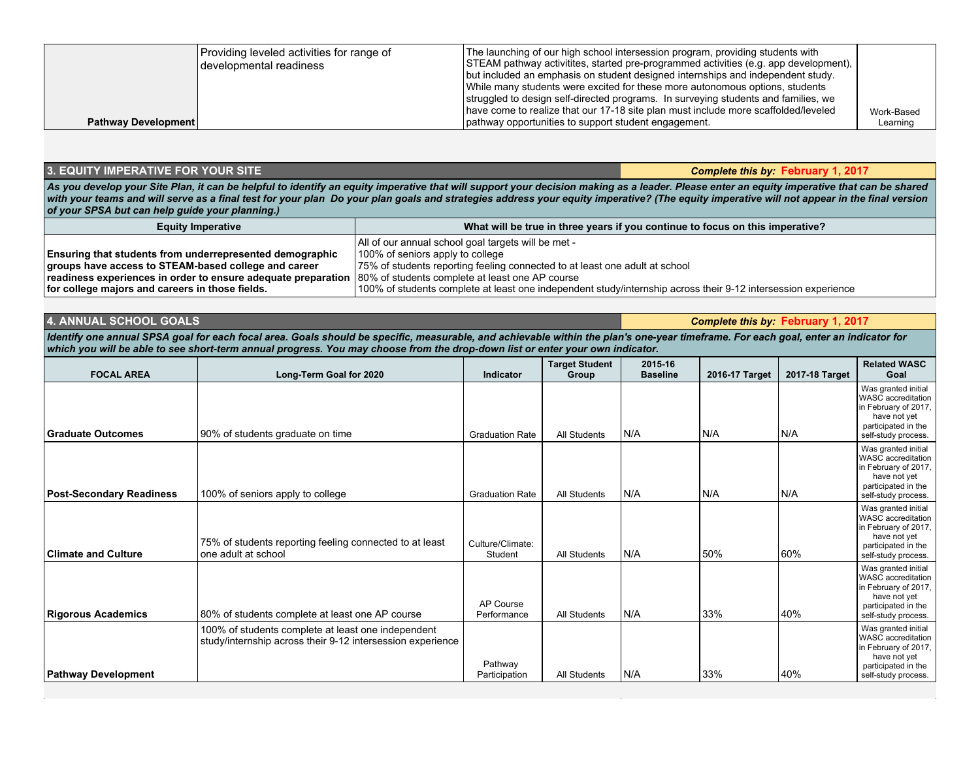|                            | Providing leveled activities for range of<br>I developmental readiness | The launching of our high school intersession program, providing students with<br>STEAM pathway activitites, started pre-programmed activities (e.g. app development),<br>but included an emphasis on student designed internships and independent study.<br>While many students were excited for these more autonomous options, students<br>struggled to design self-directed programs. In surveying students and families, we<br>have come to realize that our 17-18 site plan must include more scaffolded/leveled | Work-Based |
|----------------------------|------------------------------------------------------------------------|-----------------------------------------------------------------------------------------------------------------------------------------------------------------------------------------------------------------------------------------------------------------------------------------------------------------------------------------------------------------------------------------------------------------------------------------------------------------------------------------------------------------------|------------|
| <b>Pathway Development</b> |                                                                        | pathway opportunities to support student engagement.                                                                                                                                                                                                                                                                                                                                                                                                                                                                  | Learning   |

#### **3. EQUITY IMPERATIVE FOR YOUR SITE** *Complete this by:* **February 1, 2017**

As you develop your Site Plan, it can be helpful to identify an equity imperative that will support your decision making as a leader. Please enter an equity imperative that can be shared *with your teams and will serve as a final test for your plan Do your plan goals and strategies address your equity imperative? (The equity imperative will not appear in the final version of your SPSA but can help guide your planning.)*

| <b>Equity Imperative</b>                                                                                      | What will be true in three years if you continue to focus on this imperative?                                 |
|---------------------------------------------------------------------------------------------------------------|---------------------------------------------------------------------------------------------------------------|
|                                                                                                               | All of our annual school goal targets will be met -                                                           |
| <b>Ensuring that students from underrepresented demographic</b>                                               | 100% of seniors apply to college                                                                              |
| groups have access to STEAM-based college and career                                                          | 75% of students reporting feeling connected to at least one adult at school                                   |
| readiness experiences in order to ensure adequate preparation 80% of students complete at least one AP course |                                                                                                               |
| for college majors and careers in those fields.                                                               | 100% of students complete at least one independent study/internship across their 9-12 intersession experience |

## **4. ANNUAL SCHOOL GOALS** *Complete this by:* **February 1, 2017**

*Identify one annual SPSA goal for each focal area. Goals should be specific, measurable, and achievable within the plan's one-year timeframe. For each goal, enter an indicator for which you will be able to see short-term annual progress. You may choose from the drop-down list or enter your own indicator.*

| <b>FOCAL AREA</b>               | Long-Term Goal for 2020                                                                                          | <b>Indicator</b>            | <b>Target Student</b><br>Group | 2015-16<br><b>Baseline</b> | 2016-17 Target | 2017-18 Target | <b>Related WASC</b><br>Goal                                                                                                     |
|---------------------------------|------------------------------------------------------------------------------------------------------------------|-----------------------------|--------------------------------|----------------------------|----------------|----------------|---------------------------------------------------------------------------------------------------------------------------------|
| Graduate Outcomes               | 90% of students graduate on time                                                                                 | <b>Graduation Rate</b>      | All Students                   | N/A                        | N/A            | N/A            | Was granted initial<br>WASC accreditation<br>in February of 2017,<br>have not yet<br>participated in the<br>self-study process. |
| <b>Post-Secondary Readiness</b> | 100% of seniors apply to college                                                                                 | <b>Graduation Rate</b>      | All Students                   | N/A                        | N/A            | N/A            | Was granted initial<br>WASC accreditation<br>in February of 2017,<br>have not yet<br>participated in the<br>self-study process. |
| <b>Climate and Culture</b>      | 75% of students reporting feeling connected to at least<br>one adult at school                                   | Culture/Climate:<br>Student | All Students                   | N/A                        | 50%            | 60%            | Was granted initial<br>WASC accreditation<br>in February of 2017,<br>have not yet<br>participated in the<br>self-study process. |
| <b>Rigorous Academics</b>       | 80% of students complete at least one AP course                                                                  | AP Course<br>Performance    | All Students                   | N/A                        | 33%            | 40%            | Was granted initial<br>WASC accreditation<br>in February of 2017,<br>have not yet<br>participated in the<br>self-study process. |
| <b>Pathway Development</b>      | 100% of students complete at least one independent<br>study/internship across their 9-12 intersession experience | Pathway<br>Participation    | All Students                   | N/A                        | 33%            | 40%            | Was granted initial<br>WASC accreditation<br>in February of 2017,<br>have not yet<br>participated in the<br>self-study process. |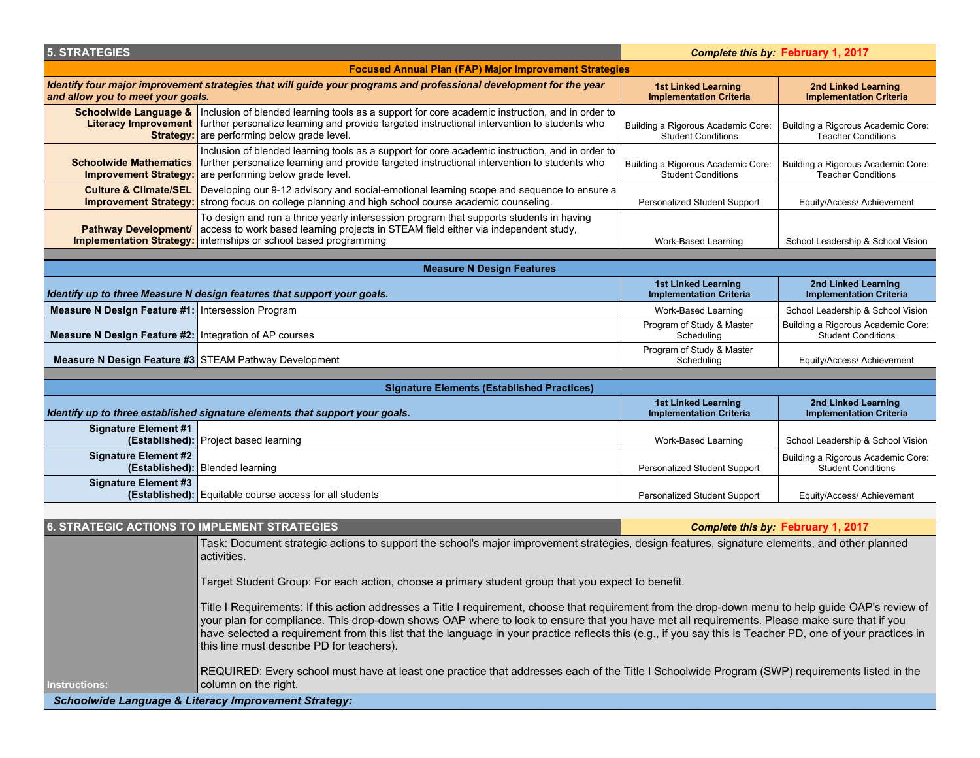| <b>5. STRATEGIES</b>                                                                                                                                                                                                                                                                                  |                                                                                                                                                                                                                                                                                                      |                                                                 | Complete this by: February 1, 2017                              |  |
|-------------------------------------------------------------------------------------------------------------------------------------------------------------------------------------------------------------------------------------------------------------------------------------------------------|------------------------------------------------------------------------------------------------------------------------------------------------------------------------------------------------------------------------------------------------------------------------------------------------------|-----------------------------------------------------------------|-----------------------------------------------------------------|--|
|                                                                                                                                                                                                                                                                                                       | <b>Focused Annual Plan (FAP) Major Improvement Strategies</b>                                                                                                                                                                                                                                        |                                                                 |                                                                 |  |
| and allow you to meet your goals.                                                                                                                                                                                                                                                                     | Identify four major improvement strategies that will guide your programs and professional development for the year                                                                                                                                                                                   | <b>1st Linked Learning</b><br><b>Implementation Criteria</b>    | <b>2nd Linked Learning</b><br><b>Implementation Criteria</b>    |  |
|                                                                                                                                                                                                                                                                                                       | Schoolwide Language &   Inclusion of blended learning tools as a support for core academic instruction, and in order to<br>Literacy Improvement   further personalize learning and provide targeted instructional intervention to students who<br><b>Strategy:</b> are performing below grade level. | Building a Rigorous Academic Core:<br><b>Student Conditions</b> | Building a Rigorous Academic Core:<br><b>Teacher Conditions</b> |  |
| Inclusion of blended learning tools as a support for core academic instruction, and in order to<br>further personalize learning and provide targeted instructional intervention to students who<br><b>Schoolwide Mathematics</b><br>are performing below grade level.<br><b>Improvement Strategy:</b> |                                                                                                                                                                                                                                                                                                      | Building a Rigorous Academic Core:<br><b>Student Conditions</b> | Building a Rigorous Academic Core:<br><b>Teacher Conditions</b> |  |
| <b>Culture &amp; Climate/SEL</b><br><b>Improvement Strategy:</b>                                                                                                                                                                                                                                      | Developing our 9-12 advisory and social-emotional learning scope and sequence to ensure a<br>strong focus on college planning and high school course academic counseling.                                                                                                                            | Personalized Student Support                                    | Equity/Access/ Achievement                                      |  |
| To design and run a thrice yearly intersession program that supports students in having<br><b>Pathway Development/</b><br>access to work based learning projects in STEAM field either via independent study,<br><b>Implementation Strategy:</b><br>internships or school based programming           |                                                                                                                                                                                                                                                                                                      | Work-Based Learning                                             | School Leadership & School Vision                               |  |
|                                                                                                                                                                                                                                                                                                       |                                                                                                                                                                                                                                                                                                      |                                                                 |                                                                 |  |
|                                                                                                                                                                                                                                                                                                       | <b>Measure N Design Features</b>                                                                                                                                                                                                                                                                     | <b>1st Linked Learning</b>                                      | 2nd Linked Learning                                             |  |
|                                                                                                                                                                                                                                                                                                       | Identify up to three Measure N design features that support your goals.                                                                                                                                                                                                                              | <b>Implementation Criteria</b>                                  | <b>Implementation Criteria</b>                                  |  |
| Measure N Design Feature #1: Intersession Program                                                                                                                                                                                                                                                     |                                                                                                                                                                                                                                                                                                      | Work-Based Learning                                             | School Leadership & School Vision                               |  |
| Measure N Design Feature #2:   Integration of AP courses                                                                                                                                                                                                                                              |                                                                                                                                                                                                                                                                                                      | Program of Study & Master<br>Scheduling                         | Building a Rigorous Academic Core:<br><b>Student Conditions</b> |  |
|                                                                                                                                                                                                                                                                                                       | Measure N Design Feature #3 STEAM Pathway Development                                                                                                                                                                                                                                                | Program of Study & Master<br>Scheduling                         | Equity/Access/ Achievement                                      |  |
|                                                                                                                                                                                                                                                                                                       | <b>Signature Elements (Established Practices)</b>                                                                                                                                                                                                                                                    |                                                                 |                                                                 |  |
|                                                                                                                                                                                                                                                                                                       | Identify up to three established signature elements that support your goals.                                                                                                                                                                                                                         | <b>1st Linked Learning</b><br><b>Implementation Criteria</b>    | 2nd Linked Learning<br><b>Implementation Criteria</b>           |  |
| <b>Signature Element #1</b>                                                                                                                                                                                                                                                                           | (Established): Project based learning                                                                                                                                                                                                                                                                | Work-Based Learning                                             | School Leadership & School Vision                               |  |
| <b>Signature Element #2</b>                                                                                                                                                                                                                                                                           | (Established): Blended learning                                                                                                                                                                                                                                                                      | Personalized Student Support                                    | Building a Rigorous Academic Core:<br><b>Student Conditions</b> |  |
| <b>Signature Element #3</b>                                                                                                                                                                                                                                                                           | (Established): Equitable course access for all students                                                                                                                                                                                                                                              | Personalized Student Support                                    | Equity/Access/ Achievement                                      |  |
|                                                                                                                                                                                                                                                                                                       |                                                                                                                                                                                                                                                                                                      |                                                                 |                                                                 |  |
| <b>6. STRATEGIC ACTIONS TO IMPLEMENT STRATEGIES</b>                                                                                                                                                                                                                                                   |                                                                                                                                                                                                                                                                                                      |                                                                 | Complete this by: February 1, 2017                              |  |
|                                                                                                                                                                                                                                                                                                       | Task: Document strategic actions to support the school's major improvement strategies, design features, signature elements, and other planned<br>activities.                                                                                                                                         |                                                                 |                                                                 |  |
|                                                                                                                                                                                                                                                                                                       | Target Student Group: For each action, choose a primary student group that you expect to benefit.                                                                                                                                                                                                    |                                                                 |                                                                 |  |
| Title I Requirements: If this action addresses a Title I requirement, choose that requirement from the drop-down menu to help guide OAP's review of                                                                                                                                                   |                                                                                                                                                                                                                                                                                                      |                                                                 |                                                                 |  |

your plan for compliance. This drop-down shows OAP where to look to ensure that you have met all requirements. Please make sure that if you have selected a requirement from this list that the language in your practice reflects this (e.g., if you say this is Teacher PD, one of your practices in

REQUIRED: Every school must have at least one practice that addresses each of the Title I Schoolwide Program (SWP) requirements listed in the

**Instructions:**

this line must describe PD for teachers).

column on the right.

 *Schoolwide Language & Literacy Improvement Strategy:*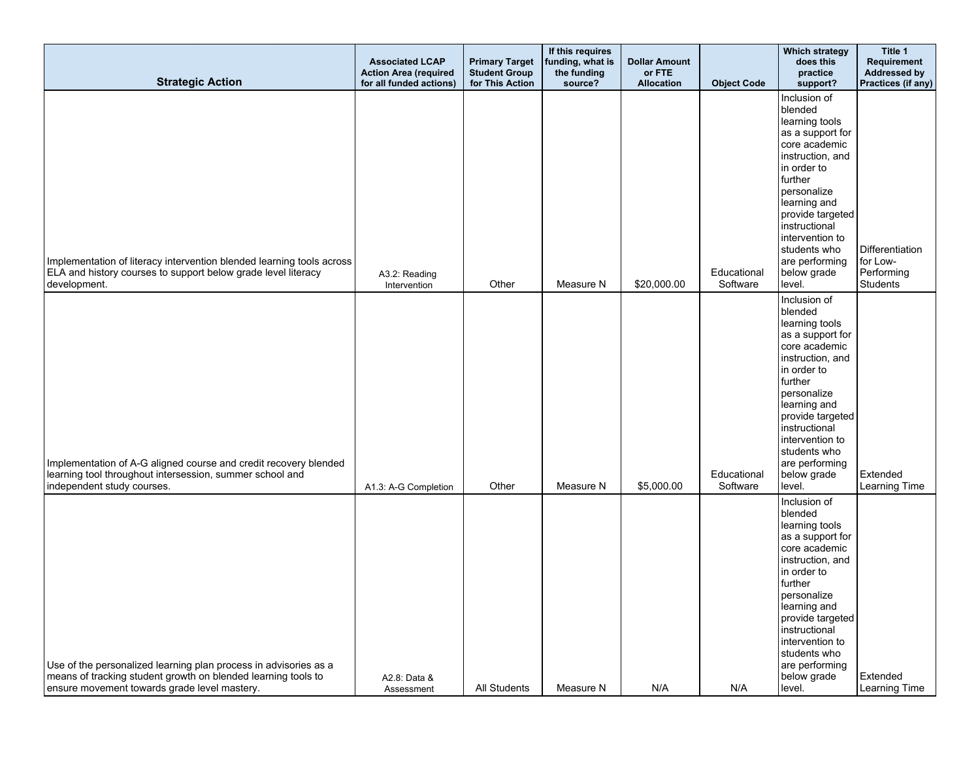| <b>Strategic Action</b>                                                                                                                                                           | <b>Associated LCAP</b><br><b>Action Area (required</b><br>for all funded actions) | <b>Primary Target</b><br><b>Student Group</b><br>for This Action | If this requires<br>funding, what is<br>the funding<br>source? | <b>Dollar Amount</b><br>or FTE<br><b>Allocation</b> | <b>Object Code</b>      | <b>Which strategy</b><br>does this<br>practice<br>support?                                                                                                                                                                                                                     | Title 1<br><b>Requirement</b><br><b>Addressed by</b><br>Practices (if any) |
|-----------------------------------------------------------------------------------------------------------------------------------------------------------------------------------|-----------------------------------------------------------------------------------|------------------------------------------------------------------|----------------------------------------------------------------|-----------------------------------------------------|-------------------------|--------------------------------------------------------------------------------------------------------------------------------------------------------------------------------------------------------------------------------------------------------------------------------|----------------------------------------------------------------------------|
| Implementation of literacy intervention blended learning tools across<br>ELA and history courses to support below grade level literacy<br>development.                            | A3.2: Reading<br>Intervention                                                     | Other                                                            | Measure N                                                      | \$20,000.00                                         | Educational<br>Software | Inclusion of<br>blended<br>learning tools<br>as a support for<br>core academic<br>instruction, and<br>in order to<br>further<br>personalize<br>learning and<br>provide targeted<br>instructional<br>intervention to<br>students who<br>are performing<br>below grade<br>level. | Differentiation<br>for Low-<br>Performing<br><b>Students</b>               |
| Implementation of A-G aligned course and credit recovery blended<br>learning tool throughout intersession, summer school and<br>independent study courses.                        | A1.3: A-G Completion                                                              | Other                                                            | Measure N                                                      | \$5,000.00                                          | Educational<br>Software | Inclusion of<br>blended<br>learning tools<br>as a support for<br>core academic<br>instruction, and<br>in order to<br>further<br>personalize<br>learning and<br>provide targeted<br>instructional<br>intervention to<br>students who<br>are performing<br>below grade<br>level. | Extended<br>Learning Time                                                  |
| Use of the personalized learning plan process in advisories as a<br>means of tracking student growth on blended learning tools to<br>ensure movement towards grade level mastery. | A2.8: Data &<br>Assessment                                                        | All Students                                                     | Measure N                                                      | N/A                                                 | N/A                     | Inclusion of<br>blended<br>learning tools<br>as a support for<br>core academic<br>instruction, and<br>in order to<br>further<br>personalize<br>learning and<br>provide targeted<br>instructional<br>intervention to<br>students who<br>are performing<br>below grade<br>level. | Extended<br>Learning Time                                                  |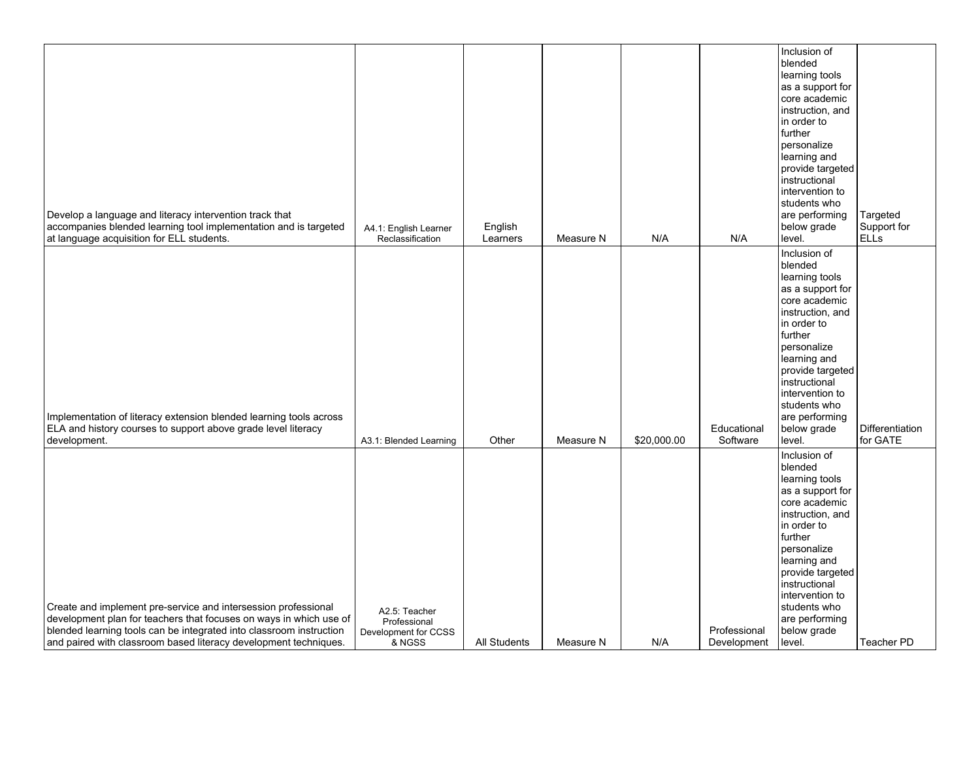| Develop a language and literacy intervention track that<br>accompanies blended learning tool implementation and is targeted<br>at language acquisition for ELL students.                                                                                                        | A4.1: English Learner<br>Reclassification                       | English<br>Learners | Measure N | N/A         | N/A                         | Inclusion of<br>blended<br>learning tools<br>as a support for<br>core academic<br>instruction, and<br>in order to<br>further<br>personalize<br>learning and<br>provide targeted<br>instructional<br>intervention to<br>students who<br>are performing<br>below grade<br>level. | Targeted<br>Support for<br><b>ELLS</b> |
|---------------------------------------------------------------------------------------------------------------------------------------------------------------------------------------------------------------------------------------------------------------------------------|-----------------------------------------------------------------|---------------------|-----------|-------------|-----------------------------|--------------------------------------------------------------------------------------------------------------------------------------------------------------------------------------------------------------------------------------------------------------------------------|----------------------------------------|
| Implementation of literacy extension blended learning tools across<br>ELA and history courses to support above grade level literacy<br>development.                                                                                                                             | A3.1: Blended Learning                                          | Other               | Measure N | \$20,000.00 | Educational<br>Software     | Inclusion of<br>blended<br>learning tools<br>as a support for<br>core academic<br>instruction, and<br>in order to<br>further<br>personalize<br>learning and<br>provide targeted<br>instructional<br>intervention to<br>students who<br>are performing<br>below grade<br>level. | Differentiation<br>for GATE            |
| Create and implement pre-service and intersession professional<br>development plan for teachers that focuses on ways in which use of<br>blended learning tools can be integrated into classroom instruction<br>and paired with classroom based literacy development techniques. | A2.5: Teacher<br>Professional<br>Development for CCSS<br>& NGSS | <b>All Students</b> | Measure N | N/A         | Professional<br>Development | Inclusion of<br>blended<br>learning tools<br>as a support for<br>core academic<br>instruction, and<br>in order to<br>further<br>personalize<br>learning and<br>provide targeted<br>instructional<br>intervention to<br>students who<br>are performing<br>below grade<br>level. | Teacher PD                             |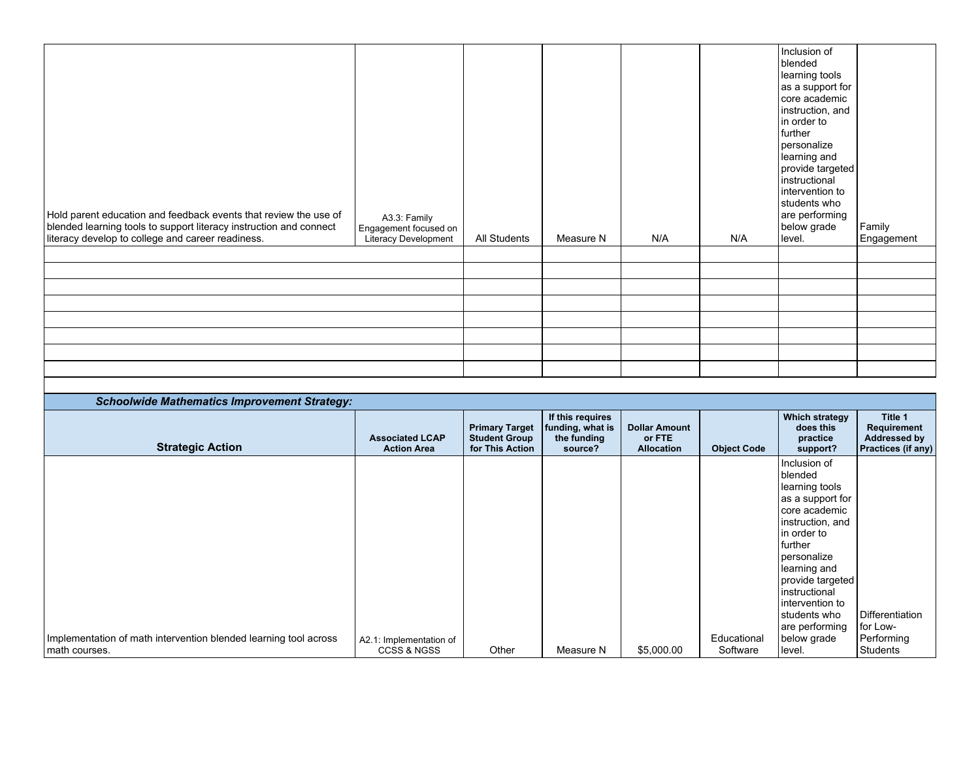| Hold parent education and feedback events that review the use of<br>blended learning tools to support literacy instruction and connect<br>literacy develop to college and career readiness. | A3.3: Family<br>Engagement focused on<br>Literacy Development | All Students | Measure N | N/A | N/A | Inclusion of<br>blended<br>learning tools<br>as a support for<br>core academic<br>instruction, and<br>in order to<br>l further<br>personalize<br>learning and<br>provide targeted<br>instructional<br>intervention to<br>students who<br>are performing<br>below grade<br>level. | Family<br>Engagement |
|---------------------------------------------------------------------------------------------------------------------------------------------------------------------------------------------|---------------------------------------------------------------|--------------|-----------|-----|-----|----------------------------------------------------------------------------------------------------------------------------------------------------------------------------------------------------------------------------------------------------------------------------------|----------------------|
|                                                                                                                                                                                             |                                                               |              |           |     |     |                                                                                                                                                                                                                                                                                  |                      |
|                                                                                                                                                                                             |                                                               |              |           |     |     |                                                                                                                                                                                                                                                                                  |                      |
|                                                                                                                                                                                             |                                                               |              |           |     |     |                                                                                                                                                                                                                                                                                  |                      |
|                                                                                                                                                                                             |                                                               |              |           |     |     |                                                                                                                                                                                                                                                                                  |                      |
|                                                                                                                                                                                             |                                                               |              |           |     |     |                                                                                                                                                                                                                                                                                  |                      |
|                                                                                                                                                                                             |                                                               |              |           |     |     |                                                                                                                                                                                                                                                                                  |                      |
|                                                                                                                                                                                             |                                                               |              |           |     |     |                                                                                                                                                                                                                                                                                  |                      |
|                                                                                                                                                                                             |                                                               |              |           |     |     |                                                                                                                                                                                                                                                                                  |                      |

| <b>Schoolwide Mathematics Improvement Strategy:</b>              |                                              |                                                                  |                                                                |                                                     |                    |                                                                                                                                                                                                                                                                      |                                                              |
|------------------------------------------------------------------|----------------------------------------------|------------------------------------------------------------------|----------------------------------------------------------------|-----------------------------------------------------|--------------------|----------------------------------------------------------------------------------------------------------------------------------------------------------------------------------------------------------------------------------------------------------------------|--------------------------------------------------------------|
| <b>Strategic Action</b>                                          | <b>Associated LCAP</b><br><b>Action Area</b> | <b>Primary Target</b><br><b>Student Group</b><br>for This Action | If this requires<br>funding, what is<br>the funding<br>source? | <b>Dollar Amount</b><br>or FTE<br><b>Allocation</b> | <b>Object Code</b> | Which strategy<br>does this<br>practice<br>support?                                                                                                                                                                                                                  | Title 1<br>Requirement<br>Addressed by<br>Practices (if any) |
| Implementation of math intervention blended learning tool across | A2.1: Implementation of                      |                                                                  |                                                                |                                                     | Educational        | Inclusion of<br>blended<br>learning tools<br>as a support for<br>core academic<br>instruction, and<br>in order to<br>further<br>personalize<br>learning and<br>provide targeted<br>instructional<br>intervention to<br>students who<br>are performing<br>below grade | Differentiation<br>for Low-<br>Performing                    |
| math courses.                                                    | <b>CCSS &amp; NGSS</b>                       | Other                                                            | Measure N                                                      | \$5,000.00                                          | Software           | level.                                                                                                                                                                                                                                                               | Students                                                     |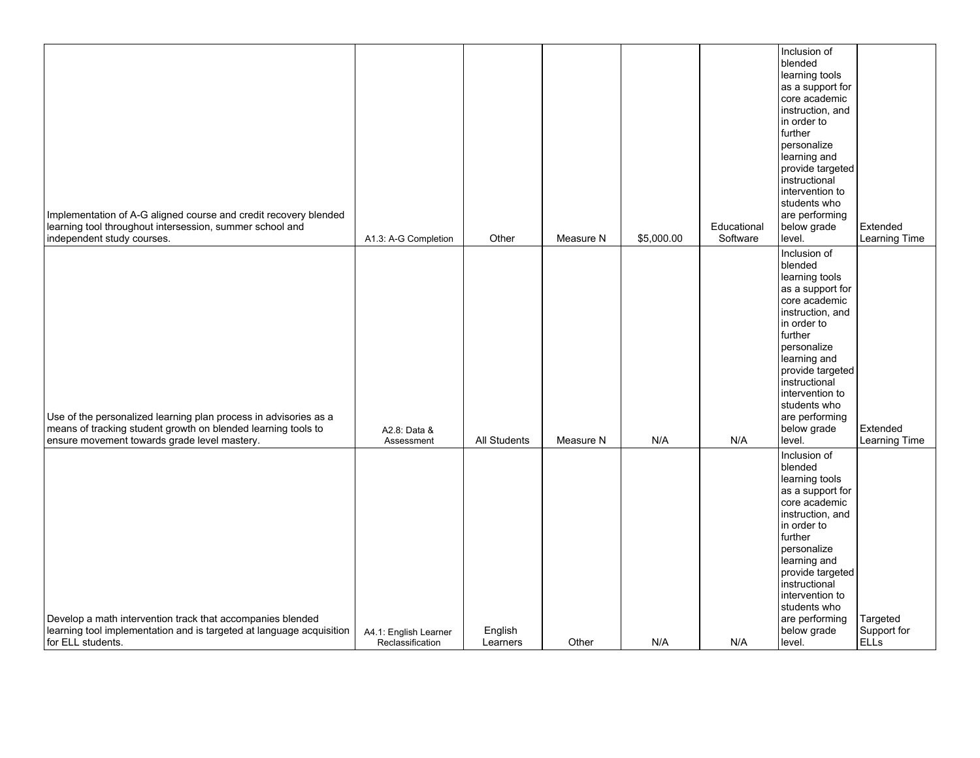| Implementation of A-G aligned course and credit recovery blended<br>learning tool throughout intersession, summer school and<br>independent study courses.                        | A1.3: A-G Completion                      | Other               | Measure N | \$5,000.00 | Educational<br>Software | Inclusion of<br>blended<br>learning tools<br>as a support for<br>core academic<br>instruction, and<br>in order to<br>I further<br>personalize<br>learning and<br>provide targeted<br>instructional<br>intervention to<br>students who<br>are performing<br>below grade<br>level. | Extended<br>Learning Time              |
|-----------------------------------------------------------------------------------------------------------------------------------------------------------------------------------|-------------------------------------------|---------------------|-----------|------------|-------------------------|----------------------------------------------------------------------------------------------------------------------------------------------------------------------------------------------------------------------------------------------------------------------------------|----------------------------------------|
| Use of the personalized learning plan process in advisories as a<br>means of tracking student growth on blended learning tools to<br>ensure movement towards grade level mastery. | A2.8: Data &<br>Assessment                | <b>All Students</b> | Measure N | N/A        | N/A                     | Inclusion of<br>blended<br>learning tools<br>as a support for<br>core academic<br>instruction, and<br>in order to<br>further<br>personalize<br>learning and<br>provide targeted<br>instructional<br>intervention to<br>students who<br>are performing<br>below grade<br>level.   | Extended<br>Learning Time              |
| Develop a math intervention track that accompanies blended<br>learning tool implementation and is targeted at language acquisition<br>for ELL students.                           | A4.1: English Learner<br>Reclassification | English<br>Learners | Other     | N/A        | N/A                     | Inclusion of<br>blended<br>learning tools<br>as a support for<br>core academic<br>instruction, and<br>in order to<br>I further<br>personalize<br>learning and<br>provide targeted<br>instructional<br>intervention to<br>students who<br>are performing<br>below grade<br>level. | Targeted<br>Support for<br><b>ELLS</b> |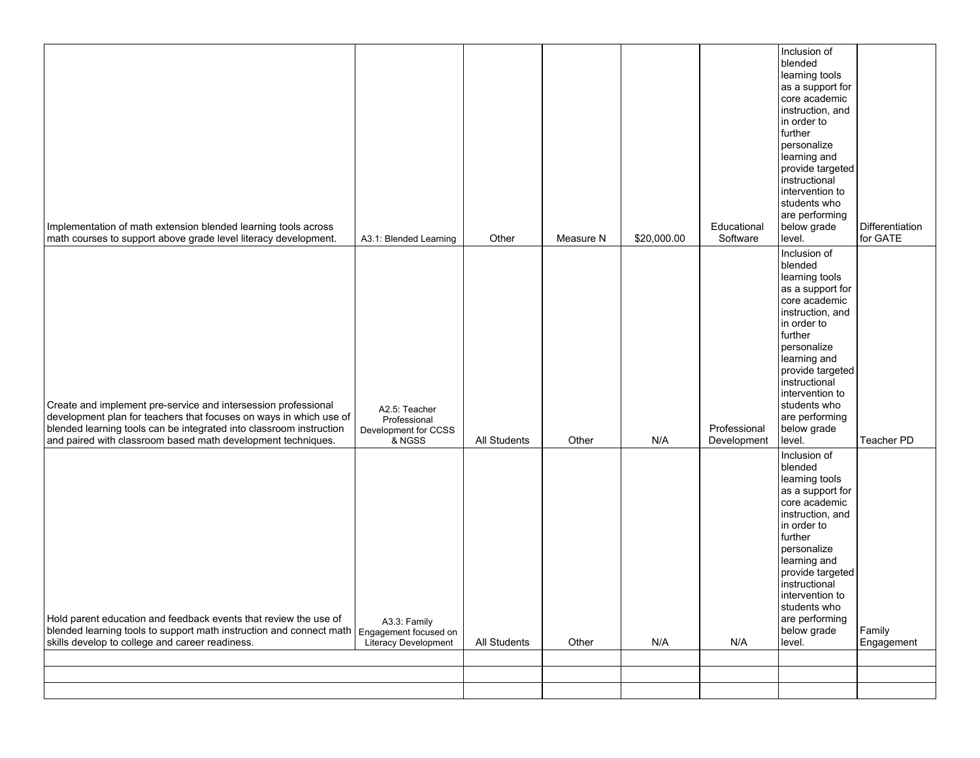| Implementation of math extension blended learning tools across<br>math courses to support above grade level literacy development.                                                                                                                                           | A3.1: Blended Learning                                                  | Other        | Measure N      | \$20,000.00 | Educational<br>Software | Inclusion of<br>blended<br>learning tools<br>as a support for<br>core academic<br>instruction, and<br>in order to<br>further<br>personalize<br>learning and<br>provide targeted<br>instructional<br>intervention to<br>students who<br>are performing<br>below grade<br>level. | Differentiation<br>for GATE |
|-----------------------------------------------------------------------------------------------------------------------------------------------------------------------------------------------------------------------------------------------------------------------------|-------------------------------------------------------------------------|--------------|----------------|-------------|-------------------------|--------------------------------------------------------------------------------------------------------------------------------------------------------------------------------------------------------------------------------------------------------------------------------|-----------------------------|
| Create and implement pre-service and intersession professional<br>development plan for teachers that focuses on ways in which use of<br>blended learning tools can be integrated into classroom instruction<br>and paired with classroom based math development techniques. | A2.5: Teacher<br>Professional<br>Development for CCSS                   | All Students |                |             | Professional            | Inclusion of<br>blended<br>learning tools<br>as a support for<br>core academic<br>instruction, and<br>in order to<br>further<br>personalize<br>learning and<br>provide targeted<br>instructional<br>intervention to<br>students who<br>are performing<br>below grade<br>level. | Teacher PD                  |
| Hold parent education and feedback events that review the use of<br>blended learning tools to support math instruction and connect math<br>skills develop to college and career readiness.                                                                                  | & NGSS<br>A3.3: Family<br>Engagement focused on<br>Literacy Development | All Students | Other<br>Other | N/A<br>N/A  | Development<br>N/A      | Inclusion of<br>blended<br>learning tools<br>as a support for<br>core academic<br>instruction, and<br>in order to<br>further<br>personalize<br>learning and<br>provide targeted<br>instructional<br>intervention to<br>students who<br>are performing<br>below grade<br>level. | Family<br>Engagement        |
|                                                                                                                                                                                                                                                                             |                                                                         |              |                |             |                         |                                                                                                                                                                                                                                                                                |                             |
|                                                                                                                                                                                                                                                                             |                                                                         |              |                |             |                         |                                                                                                                                                                                                                                                                                |                             |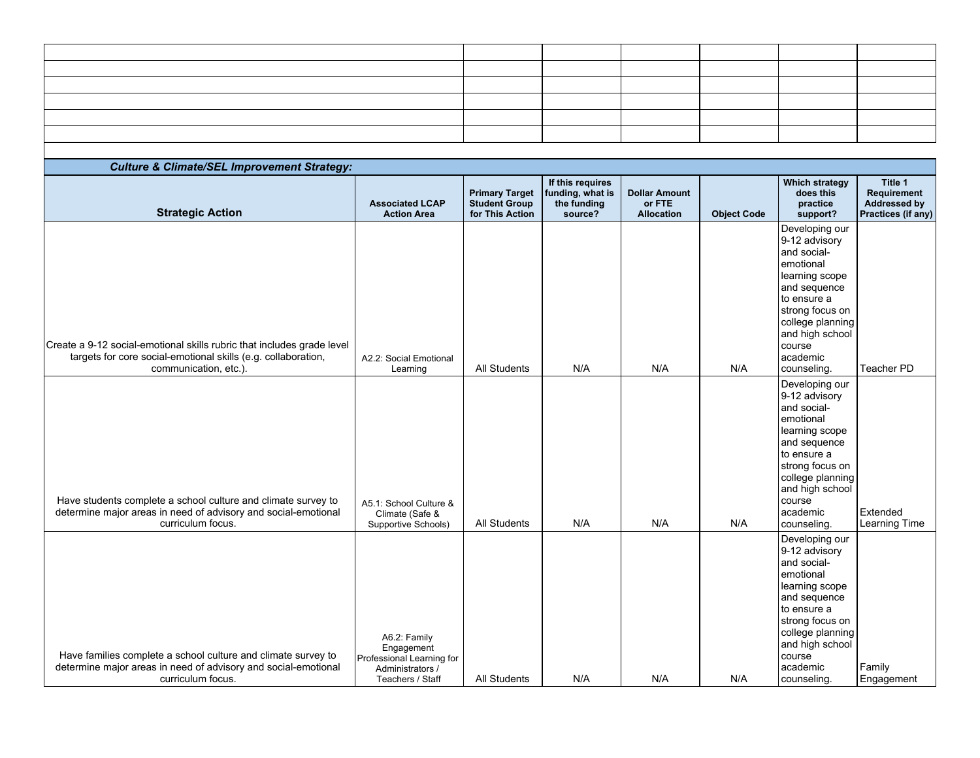| ,我们也不会不会不会不会不会不会不会不会不会不会不会不会不会不会不会。""我们的是我们的,我们也不会不会不会不会不会不会不会。""我们的是我们的,我们也不会不会<br><u> 2000 - Andrea Andrew American American American American American American American American American American</u> |  |  |  |
|------------------------------------------------------------------------------------------------------------------------------------------------------------------------------------------------------------|--|--|--|
|                                                                                                                                                                                                            |  |  |  |
|                                                                                                                                                                                                            |  |  |  |
| ,一个人的人都是一个人的人,我们也不会不会不会。""我们,我们也不会不会不会不会。""我们,我们也不会不会不会不会。""我们,我们也不会不会不会不会。""我们,                                                                                                                           |  |  |  |
|                                                                                                                                                                                                            |  |  |  |
|                                                                                                                                                                                                            |  |  |  |

| <b>Culture &amp; Climate/SEL Improvement Strategy:</b>                                                                                               |                                                                                                 |                                                                  |                                                                |                                              |                    |                                                                                                                                                                                                             |                                                                     |
|------------------------------------------------------------------------------------------------------------------------------------------------------|-------------------------------------------------------------------------------------------------|------------------------------------------------------------------|----------------------------------------------------------------|----------------------------------------------|--------------------|-------------------------------------------------------------------------------------------------------------------------------------------------------------------------------------------------------------|---------------------------------------------------------------------|
| <b>Strategic Action</b>                                                                                                                              | <b>Associated LCAP</b><br><b>Action Area</b>                                                    | <b>Primary Target</b><br><b>Student Group</b><br>for This Action | If this requires<br>funding, what is<br>the funding<br>source? | <b>Dollar Amount</b><br>or FTE<br>Allocation | <b>Object Code</b> | <b>Which strategy</b><br>does this<br>practice<br>support?                                                                                                                                                  | Title 1<br>Requirement<br><b>Addressed by</b><br>Practices (if any) |
| Create a 9-12 social-emotional skills rubric that includes grade level<br>targets for core social-emotional skills (e.g. collaboration,              | A2.2: Social Emotional                                                                          |                                                                  |                                                                |                                              |                    | Developing our<br>9-12 advisory<br>and social-<br>emotional<br>learning scope<br>and sequence<br>to ensure a<br>strong focus on<br>college planning<br>and high school<br>course<br>academic                |                                                                     |
| communication, etc.).                                                                                                                                | Learning                                                                                        | <b>All Students</b>                                              | N/A                                                            | N/A                                          | N/A                | counseling.                                                                                                                                                                                                 | Teacher PD                                                          |
| Have students complete a school culture and climate survey to<br>determine major areas in need of advisory and social-emotional<br>curriculum focus. | A5.1: School Culture &<br>Climate (Safe &<br>Supportive Schools)                                | <b>All Students</b>                                              | N/A                                                            | N/A                                          | N/A                | Developing our<br>9-12 advisory<br>and social-<br>emotional<br>learning scope<br>and sequence<br>to ensure a<br>strong focus on<br>college planning<br>and high school<br>course<br>academic<br>counseling. | Extended<br>Learning Time                                           |
| Have families complete a school culture and climate survey to<br>determine major areas in need of advisory and social-emotional<br>curriculum focus. | A6.2: Family<br>Engagement<br>Professional Learning for<br>Administrators /<br>Teachers / Staff | <b>All Students</b>                                              | N/A                                                            | N/A                                          | N/A                | Developing our<br>9-12 advisory<br>and social-<br>emotional<br>learning scope<br>and sequence<br>to ensure a<br>strong focus on<br>college planning<br>and high school<br>course<br>academic<br>counseling. | Family<br>Engagement                                                |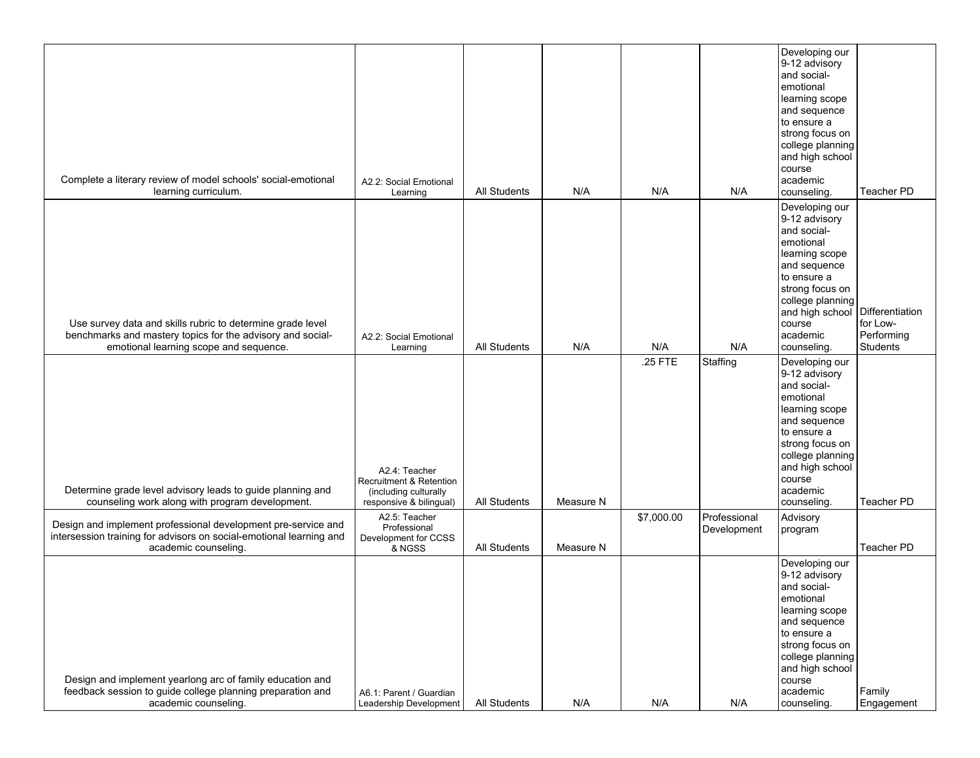| Complete a literary review of model schools' social-emotional<br>learning curriculum.                                                                              | A2.2: Social Emotional<br>Learning                                                           | All Students        | N/A       | N/A        | N/A                         | Developing our<br>9-12 advisory<br>and social-<br>emotional<br>learning scope<br>and sequence<br>to ensure a<br>strong focus on<br>college planning<br>and high school<br>course<br>academic<br>counseling.                 | Teacher PD                         |
|--------------------------------------------------------------------------------------------------------------------------------------------------------------------|----------------------------------------------------------------------------------------------|---------------------|-----------|------------|-----------------------------|-----------------------------------------------------------------------------------------------------------------------------------------------------------------------------------------------------------------------------|------------------------------------|
| Use survey data and skills rubric to determine grade level<br>benchmarks and mastery topics for the advisory and social-<br>emotional learning scope and sequence. | A2.2: Social Emotional<br>Learning                                                           | <b>All Students</b> | N/A       | N/A        | N/A                         | Developing our<br>9-12 advisory<br>and social-<br>emotional<br>learning scope<br>and sequence<br>to ensure a<br>strong focus on<br>college planning<br>and high school Differentiation<br>course<br>academic<br>counseling. | for Low-<br>Performing<br>Students |
| Determine grade level advisory leads to guide planning and<br>counseling work along with program development.                                                      | A2.4: Teacher<br>Recruitment & Retention<br>(including culturally<br>responsive & bilingual) | All Students        | Measure N | .25 FTE    | Staffing                    | Developing our<br>9-12 advisory<br>and social-<br>emotional<br>learning scope<br>and sequence<br>to ensure a<br>strong focus on<br>college planning<br>and high school<br>course<br>academic<br>counseling.                 | Teacher PD                         |
| Design and implement professional development pre-service and<br>intersession training for advisors on social-emotional learning and<br>academic counseling.       | A2.5: Teacher<br>Professional<br>Development for CCSS<br>& NGSS                              | All Students        | Measure N | \$7,000.00 | Professional<br>Development | Advisory<br>program                                                                                                                                                                                                         | Teacher PD                         |
| Design and implement yearlong arc of family education and<br>feedback session to guide college planning preparation and<br>academic counseling.                    | A6.1: Parent / Guardian<br>Leadership Development                                            | All Students        | N/A       | N/A        | N/A                         | Developing our<br>9-12 advisory<br>and social-<br>emotional<br>learning scope<br>and sequence<br>to ensure a<br>strong focus on<br>college planning<br>and high school<br>course<br>academic<br>counseling.                 | Family<br>Engagement               |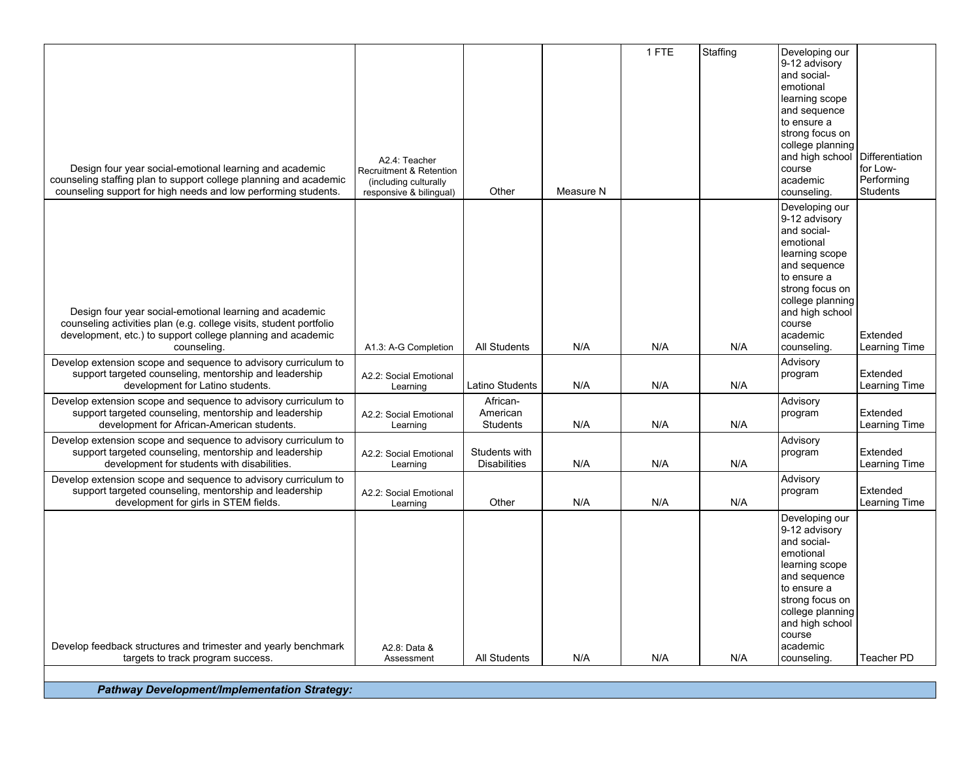| Design four year social-emotional learning and academic<br>counseling staffing plan to support college planning and academic<br>counseling support for high needs and low performing students.              | A2.4: Teacher<br>Recruitment & Retention<br>(including culturally<br>responsive & bilingual) | Other                                   | Measure N | 1 FTE | Staffing | Developing our<br>9-12 advisory<br>and social-<br>emotional<br>learning scope<br>and sequence<br>to ensure a<br>strong focus on<br>college planning<br>and high school<br>course<br>academic<br>counseling. | Differentiation<br>for Low-<br>Performing<br><b>Students</b> |
|-------------------------------------------------------------------------------------------------------------------------------------------------------------------------------------------------------------|----------------------------------------------------------------------------------------------|-----------------------------------------|-----------|-------|----------|-------------------------------------------------------------------------------------------------------------------------------------------------------------------------------------------------------------|--------------------------------------------------------------|
| Design four year social-emotional learning and academic<br>counseling activities plan (e.g. college visits, student portfolio<br>development, etc.) to support college planning and academic<br>counseling. | A1.3: A-G Completion                                                                         | <b>All Students</b>                     | N/A       | N/A   | N/A      | Developing our<br>9-12 advisory<br>and social-<br>emotional<br>learning scope<br>and sequence<br>to ensure a<br>strong focus on<br>college planning<br>and high school<br>course<br>academic<br>counseling. | Extended<br>Learning Time                                    |
| Develop extension scope and sequence to advisory curriculum to<br>support targeted counseling, mentorship and leadership<br>development for Latino students.                                                | A2.2: Social Emotional<br>Learning                                                           | Latino Students                         | N/A       | N/A   | N/A      | Advisory<br>program                                                                                                                                                                                         | Extended<br>Learning Time                                    |
| Develop extension scope and sequence to advisory curriculum to<br>support targeted counseling, mentorship and leadership<br>development for African-American students.                                      | A2.2: Social Emotional<br>Learning                                                           | African-<br>American<br><b>Students</b> | N/A       | N/A   | N/A      | Advisory<br>program                                                                                                                                                                                         | Extended<br>Learning Time                                    |
| Develop extension scope and sequence to advisory curriculum to<br>support targeted counseling, mentorship and leadership<br>development for students with disabilities.                                     | A2.2: Social Emotional<br>Learning                                                           | Students with<br><b>Disabilities</b>    | N/A       | N/A   | N/A      | Advisory<br>program                                                                                                                                                                                         | Extended<br>Learning Time                                    |
| Develop extension scope and sequence to advisory curriculum to<br>support targeted counseling, mentorship and leadership<br>development for girls in STEM fields.                                           | A2.2: Social Emotional<br>Learning                                                           | Other                                   | N/A       | N/A   | N/A      | Advisory<br>program                                                                                                                                                                                         | Extended<br>Learning Time                                    |
|                                                                                                                                                                                                             |                                                                                              |                                         |           |       |          | Developing our<br>9-12 advisory<br>and social-<br>emotional<br>learning scope<br>and sequence<br>to ensure a<br>strong focus on<br>college planning<br>and high school<br>course                            |                                                              |
| Develop feedback structures and trimester and yearly benchmark<br>targets to track program success.                                                                                                         | A2.8: Data &<br>Assessment                                                                   | <b>All Students</b>                     | N/A       | N/A   | N/A      | academic<br>counseling.                                                                                                                                                                                     | Teacher PD                                                   |

*Pathway Development/Implementation Strategy:*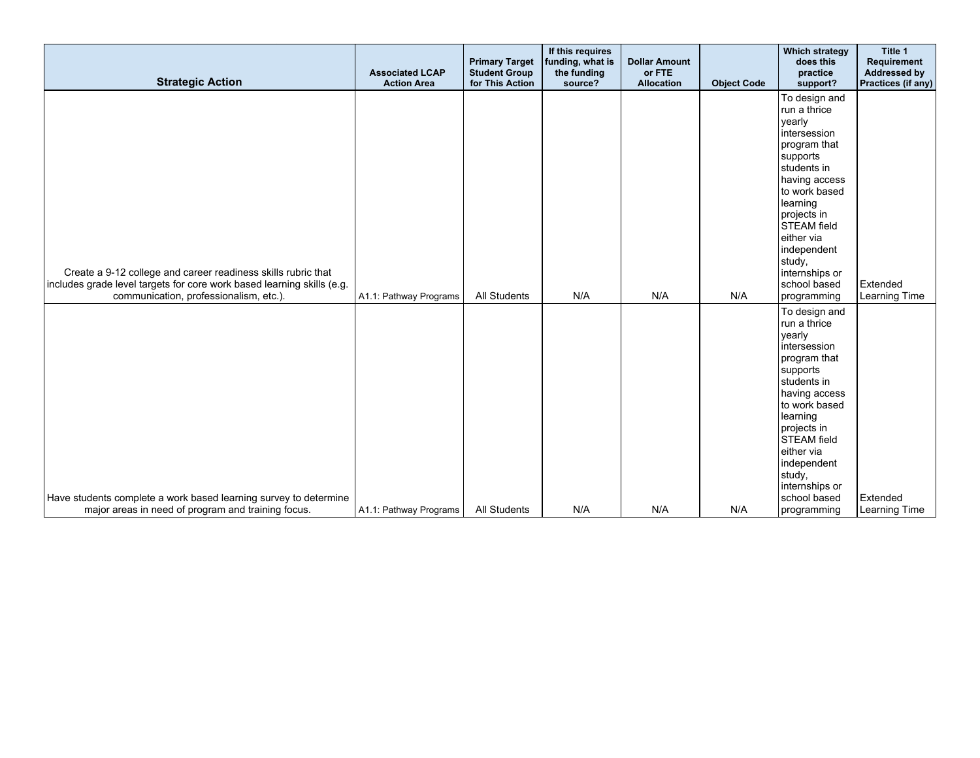| <b>Strategic Action</b>                                                                                                                                                           | <b>Associated LCAP</b><br><b>Action Area</b> | <b>Primary Target</b><br><b>Student Group</b><br>for This Action | If this requires<br>funding, what is<br>the funding<br>source? | <b>Dollar Amount</b><br>or FTE<br><b>Allocation</b> | <b>Object Code</b> | <b>Which strategy</b><br>does this<br>practice<br>support?                                                                                                                                                                                                                    | Title 1<br>Requirement<br><b>Addressed by</b><br>Practices (if any) |
|-----------------------------------------------------------------------------------------------------------------------------------------------------------------------------------|----------------------------------------------|------------------------------------------------------------------|----------------------------------------------------------------|-----------------------------------------------------|--------------------|-------------------------------------------------------------------------------------------------------------------------------------------------------------------------------------------------------------------------------------------------------------------------------|---------------------------------------------------------------------|
| Create a 9-12 college and career readiness skills rubric that<br>includes grade level targets for core work based learning skills (e.g.<br>communication, professionalism, etc.). | A1.1: Pathway Programs                       | <b>All Students</b>                                              | N/A                                                            | N/A                                                 | N/A                | To design and<br>run a thrice<br>yearly<br>intersession<br>program that<br>supports<br>students in<br>having access<br>to work based<br>learning<br>projects in<br><b>STEAM</b> field<br>either via<br>independent<br>study,<br>internships or<br>school based<br>programming | Extended<br>Learning Time                                           |
|                                                                                                                                                                                   |                                              |                                                                  |                                                                |                                                     |                    | To design and<br>run a thrice<br>yearly<br>intersession<br>program that<br>supports<br>students in<br>having access<br>to work based<br>learning<br>projects in<br><b>STEAM</b> field<br>either via<br>independent<br>study,<br>internships or                                |                                                                     |
| Have students complete a work based learning survey to determine<br>major areas in need of program and training focus.                                                            | A1.1: Pathway Programs                       | <b>All Students</b>                                              | N/A                                                            | N/A                                                 | N/A                | school based<br>programming                                                                                                                                                                                                                                                   | Extended<br>Learning Time                                           |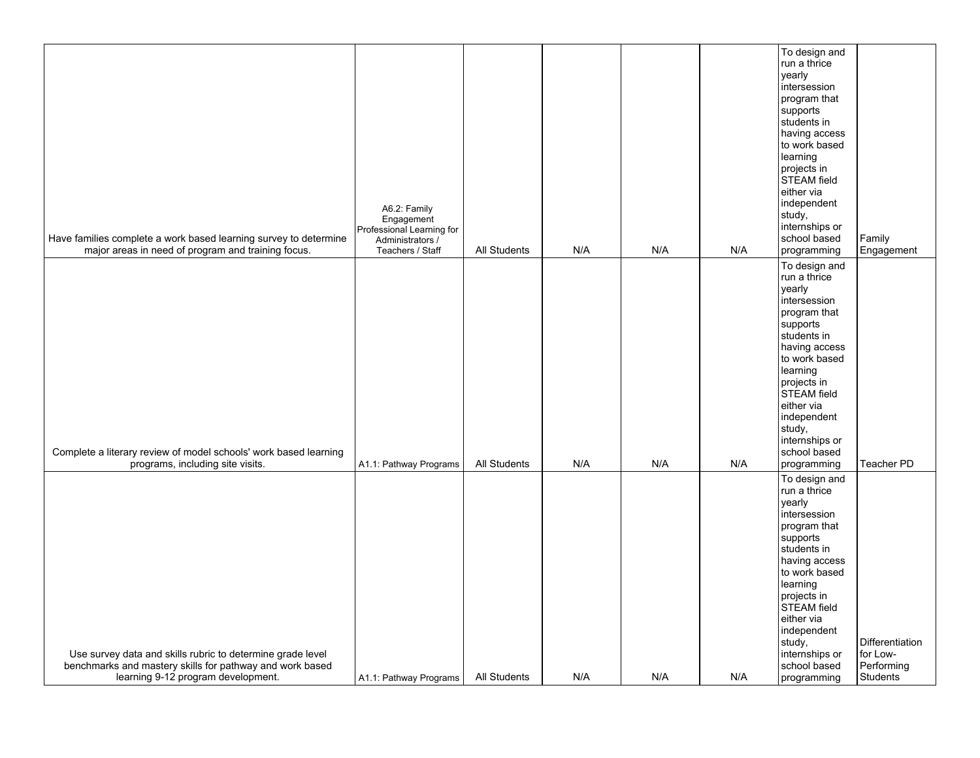| Have families complete a work based learning survey to determine<br>major areas in need of program and training focus.                                       | A6.2: Family<br>Engagement<br>Professional Learning for<br>Administrators /<br>Teachers / Staff | All Students | N/A | N/A | N/A | To design and<br>run a thrice<br>yearly<br>intersession<br>program that<br>supports<br>students in<br>having access<br>to work based<br>learning<br>projects in<br>STEAM field<br>either via<br>independent<br>study,<br>internships or<br>school based<br>programming        | Family<br>Engagement                                                |
|--------------------------------------------------------------------------------------------------------------------------------------------------------------|-------------------------------------------------------------------------------------------------|--------------|-----|-----|-----|-------------------------------------------------------------------------------------------------------------------------------------------------------------------------------------------------------------------------------------------------------------------------------|---------------------------------------------------------------------|
| Complete a literary review of model schools' work based learning<br>programs, including site visits.                                                         | A1.1: Pathway Programs                                                                          | All Students | N/A | N/A | N/A | To design and<br>run a thrice<br>yearly<br>intersession<br>program that<br>supports<br>students in<br>having access<br>to work based<br>learning<br>projects in<br><b>STEAM</b> field<br>either via<br>independent<br>study,<br>internships or<br>school based<br>programming | <b>Teacher PD</b>                                                   |
| Use survey data and skills rubric to determine grade level<br>benchmarks and mastery skills for pathway and work based<br>learning 9-12 program development. | A1.1: Pathway Programs                                                                          | All Students | N/A | N/A | N/A | To design and<br>run a thrice<br>yearly<br>intersession<br>program that<br>supports<br>students in<br>having access<br>to work based<br>learning<br>projects in<br><b>STEAM</b> field<br>either via<br>independent<br>study,<br>internships or<br>school based<br>programming | <b>Differentiation</b><br>for Low-<br>Performing<br><b>Students</b> |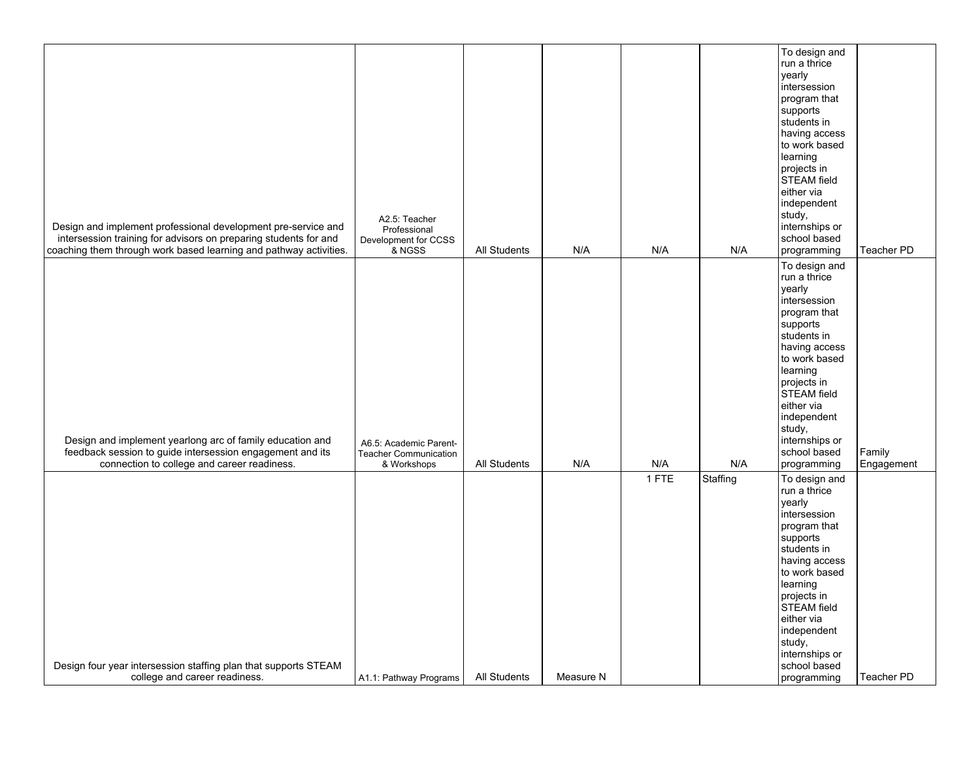| Design and implement professional development pre-service and<br>intersession training for advisors on preparing students for and<br>coaching them through work based learning and pathway activities. | A2.5: Teacher<br>Professional<br>Development for CCSS<br>& NGSS       | All Students | N/A       | N/A   | N/A      | To design and<br>run a thrice<br>yearly<br>intersession<br>program that<br>supports<br>students in<br>having access<br>to work based<br>learning<br>projects in<br>STEAM field<br>either via<br>independent<br>study,<br>internships or<br>school based<br>programming | <b>Teacher PD</b>    |
|--------------------------------------------------------------------------------------------------------------------------------------------------------------------------------------------------------|-----------------------------------------------------------------------|--------------|-----------|-------|----------|------------------------------------------------------------------------------------------------------------------------------------------------------------------------------------------------------------------------------------------------------------------------|----------------------|
| Design and implement yearlong arc of family education and<br>feedback session to guide intersession engagement and its<br>connection to college and career readiness.                                  | A6.5: Academic Parent-<br><b>Teacher Communication</b><br>& Workshops | All Students | N/A       | N/A   | N/A      | To design and<br>run a thrice<br>yearly<br>intersession<br>program that<br>supports<br>students in<br>having access<br>to work based<br>learning<br>projects in<br>STEAM field<br>either via<br>independent<br>study,<br>internships or<br>school based<br>programming | Family<br>Engagement |
| Design four year intersession staffing plan that supports STEAM<br>college and career readiness.                                                                                                       | A1.1: Pathway Programs                                                | All Students | Measure N | 1 FTE | Staffing | To design and<br>run a thrice<br>yearly<br>intersession<br>program that<br>supports<br>students in<br>having access<br>to work based<br>learning<br>projects in<br>STEAM field<br>either via<br>independent<br>study,<br>internships or<br>school based<br>programming | Teacher PD           |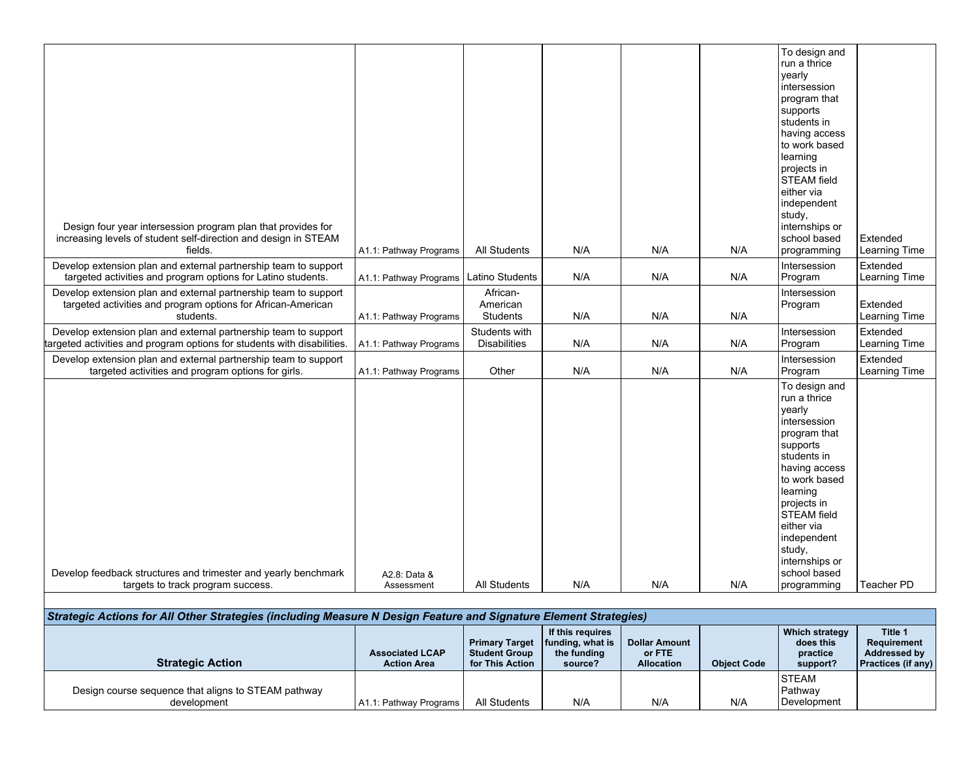|                                                                                                                                              |                        |                                      |                                 |     |     | To design and<br>run a thrice<br>yearly<br>intersession<br>program that<br>supports<br>students in<br>having access<br>to work based<br>learning<br>projects in<br><b>STEAM</b> field<br>either via<br>independent<br>study,                                   |                           |
|----------------------------------------------------------------------------------------------------------------------------------------------|------------------------|--------------------------------------|---------------------------------|-----|-----|----------------------------------------------------------------------------------------------------------------------------------------------------------------------------------------------------------------------------------------------------------------|---------------------------|
| Design four year intersession program plan that provides for<br>increasing levels of student self-direction and design in STEAM<br>fields.   | A1.1: Pathway Programs | All Students                         | N/A                             | N/A | N/A | internships or<br>school based<br>programming                                                                                                                                                                                                                  | Extended<br>Learning Time |
| Develop extension plan and external partnership team to support<br>targeted activities and program options for Latino students.              | A1.1: Pathway Programs | Latino Students                      | N/A                             | N/A | N/A | Intersession<br>Program                                                                                                                                                                                                                                        | Extended<br>Learning Time |
| Develop extension plan and external partnership team to support<br>targeted activities and program options for African-American<br>students. | A1.1: Pathway Programs | African-<br>American<br>Students     | N/A                             | N/A | N/A | Intersession<br>Program                                                                                                                                                                                                                                        | Extended<br>Learning Time |
| Develop extension plan and external partnership team to support<br>targeted activities and program options for students with disabilities.   | A1.1: Pathway Programs | Students with<br><b>Disabilities</b> | N/A                             | N/A | N/A | Intersession<br>Program                                                                                                                                                                                                                                        | Extended<br>Learning Time |
| Develop extension plan and external partnership team to support<br>targeted activities and program options for girls.                        | A1.1: Pathway Programs | Other                                | N/A                             | N/A | N/A | Intersession<br>Program                                                                                                                                                                                                                                        | Extended<br>Learning Time |
| Develop feedback structures and trimester and yearly benchmark                                                                               | A2.8: Data &           |                                      |                                 |     |     | To design and<br>run a thrice<br>yearly<br>intersession<br>program that<br>supports<br>students in<br>having access<br>to work based<br>learning<br>projects in<br><b>STEAM</b> field<br>either via<br>independent<br>study,<br>internships or<br>school based |                           |
| targets to track program success.                                                                                                            | Assessment             | All Students                         | N/A                             | N/A | N/A | programming                                                                                                                                                                                                                                                    | <b>Teacher PD</b>         |
| Chrotogia Actiona for All Other Chrotogiae (including Magazine N. Decision Footing                                                           |                        |                                      | d Cinnative Flament Cinnication |     |     |                                                                                                                                                                                                                                                                |                           |

| Strategic Actions for All Other Strategies (including Measure N Design Feature and Signature Element Strategies) |                                              |                                                                  |                                                                    |                                                     |                    |                                                     |                                                                            |
|------------------------------------------------------------------------------------------------------------------|----------------------------------------------|------------------------------------------------------------------|--------------------------------------------------------------------|-----------------------------------------------------|--------------------|-----------------------------------------------------|----------------------------------------------------------------------------|
| <b>Strategic Action</b>                                                                                          | <b>Associated LCAP</b><br><b>Action Area</b> | <b>Primary Target</b><br><b>Student Group</b><br>for This Action | If this requires<br>$ $ funding, what is<br>the funding<br>source? | <b>Dollar Amount</b><br>or FTE<br><b>Allocation</b> | <b>Object Code</b> | Which strategy<br>does this<br>practice<br>support? | <b>Title 1</b><br>Requirement<br>Addressed by<br><b>Practices (if any)</b> |
|                                                                                                                  |                                              |                                                                  |                                                                    |                                                     |                    | ISTEAM                                              |                                                                            |
| Design course sequence that aligns to STEAM pathway                                                              |                                              |                                                                  |                                                                    |                                                     |                    | Pathway                                             |                                                                            |
| development                                                                                                      | A1.1: Pathway Programs                       | All Students                                                     | N/A                                                                | N/A                                                 | N/A                | l Development                                       |                                                                            |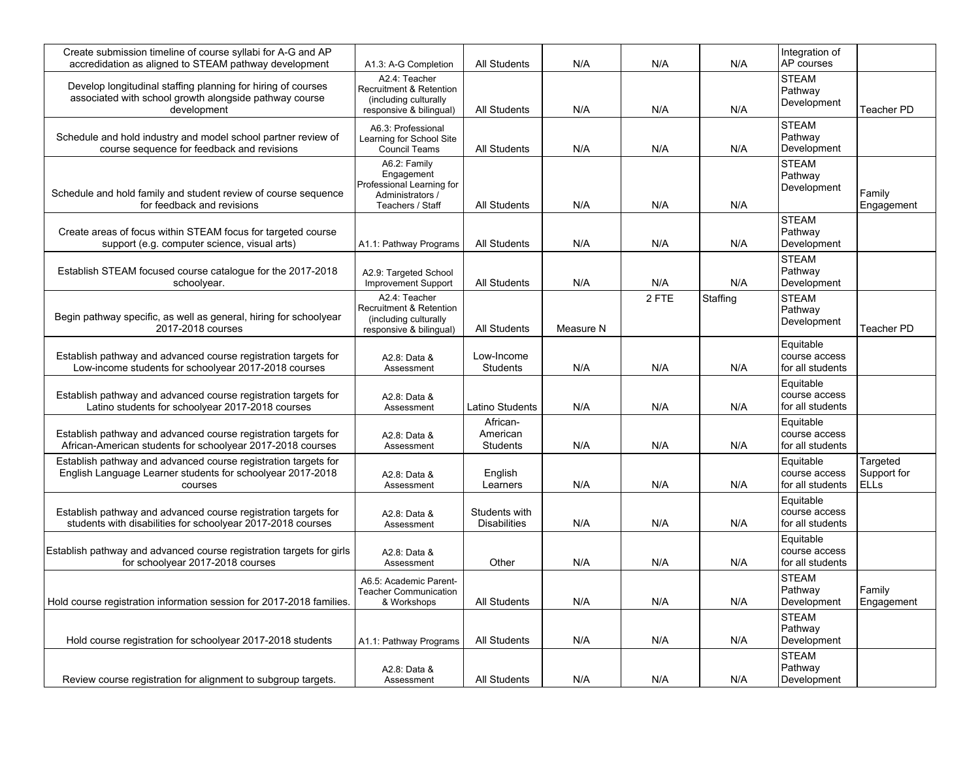| Create submission timeline of course syllabi for A-G and AP<br>accredidation as aligned to STEAM pathway development                    | A1.3: A-G Completion                                                                            | <b>All Students</b>                     | N/A       | N/A   | N/A      | Integration of<br>AP courses                   |                                        |
|-----------------------------------------------------------------------------------------------------------------------------------------|-------------------------------------------------------------------------------------------------|-----------------------------------------|-----------|-------|----------|------------------------------------------------|----------------------------------------|
| Develop longitudinal staffing planning for hiring of courses<br>associated with school growth alongside pathway course<br>development   | A2.4: Teacher<br>Recruitment & Retention<br>(including culturally<br>responsive & bilingual)    | All Students                            | N/A       | N/A   | N/A      | <b>STEAM</b><br>Pathway<br>Development         | Teacher PD                             |
| Schedule and hold industry and model school partner review of<br>course sequence for feedback and revisions                             | A6.3: Professional<br>Learning for School Site<br><b>Council Teams</b>                          | <b>All Students</b>                     | N/A       | N/A   | N/A      | <b>STEAM</b><br>Pathway<br>Development         |                                        |
| Schedule and hold family and student review of course sequence<br>for feedback and revisions                                            | A6.2: Family<br>Engagement<br>Professional Learning for<br>Administrators /<br>Teachers / Staff | All Students                            | N/A       | N/A   | N/A      | <b>STEAM</b><br>Pathway<br>Development         | Family<br>Engagement                   |
| Create areas of focus within STEAM focus for targeted course<br>support (e.g. computer science, visual arts)                            | A1.1: Pathway Programs                                                                          | <b>All Students</b>                     | N/A       | N/A   | N/A      | <b>STEAM</b><br>Pathway<br>Development         |                                        |
| Establish STEAM focused course catalogue for the 2017-2018<br>schoolyear.                                                               | A2.9: Targeted School<br><b>Improvement Support</b>                                             | All Students                            | N/A       | N/A   | N/A      | <b>STEAM</b><br>Pathway<br>Development         |                                        |
| Begin pathway specific, as well as general, hiring for schoolyear<br>2017-2018 courses                                                  | A2.4: Teacher<br>Recruitment & Retention<br>(including culturally<br>responsive & bilingual)    | <b>All Students</b>                     | Measure N | 2 FTE | Staffing | <b>STEAM</b><br>Pathway<br>Development         | Teacher PD                             |
| Establish pathway and advanced course registration targets for<br>Low-income students for schoolyear 2017-2018 courses                  | A2.8: Data &<br>Assessment                                                                      | Low-Income<br><b>Students</b>           | N/A       | N/A   | N/A      | Equitable<br>course access<br>for all students |                                        |
| Establish pathway and advanced course registration targets for<br>Latino students for schoolyear 2017-2018 courses                      | A2.8: Data &<br>Assessment                                                                      | Latino Students                         | N/A       | N/A   | N/A      | Equitable<br>course access<br>for all students |                                        |
| Establish pathway and advanced course registration targets for<br>African-American students for schoolyear 2017-2018 courses            | A2.8: Data &<br>Assessment                                                                      | African-<br>American<br><b>Students</b> | N/A       | N/A   | N/A      | Equitable<br>course access<br>for all students |                                        |
| Establish pathway and advanced course registration targets for<br>English Language Learner students for schoolyear 2017-2018<br>courses | A2.8: Data &<br>Assessment                                                                      | English<br>Learners                     | N/A       | N/A   | N/A      | Equitable<br>course access<br>for all students | Targeted<br>Support for<br><b>ELLs</b> |
| Establish pathway and advanced course registration targets for<br>students with disabilities for schoolyear 2017-2018 courses           | A2.8: Data &<br>Assessment                                                                      | Students with<br><b>Disabilities</b>    | N/A       | N/A   | N/A      | Equitable<br>course access<br>for all students |                                        |
| Establish pathway and advanced course registration targets for girls<br>for schoolyear 2017-2018 courses                                | A2.8: Data &<br>Assessment                                                                      | Other                                   | N/A       | N/A   | N/A      | Equitable<br>course access<br>for all students |                                        |
| Hold course registration information session for 2017-2018 families.                                                                    | A6.5: Academic Parent-<br><b>Teacher Communication</b><br>& Workshops                           | All Students                            | N/A       | N/A   | N/A      | <b>STEAM</b><br>Pathway<br>Development         | Family<br>Engagement                   |
| Hold course registration for schoolyear 2017-2018 students                                                                              | A1.1: Pathway Programs                                                                          | <b>All Students</b>                     | N/A       | N/A   | N/A      | <b>STEAM</b><br>Pathway<br>Development         |                                        |
| Review course registration for alignment to subgroup targets.                                                                           | A2.8: Data &<br>Assessment                                                                      | All Students                            | N/A       | N/A   | N/A      | <b>STEAM</b><br>Pathway<br>Development         |                                        |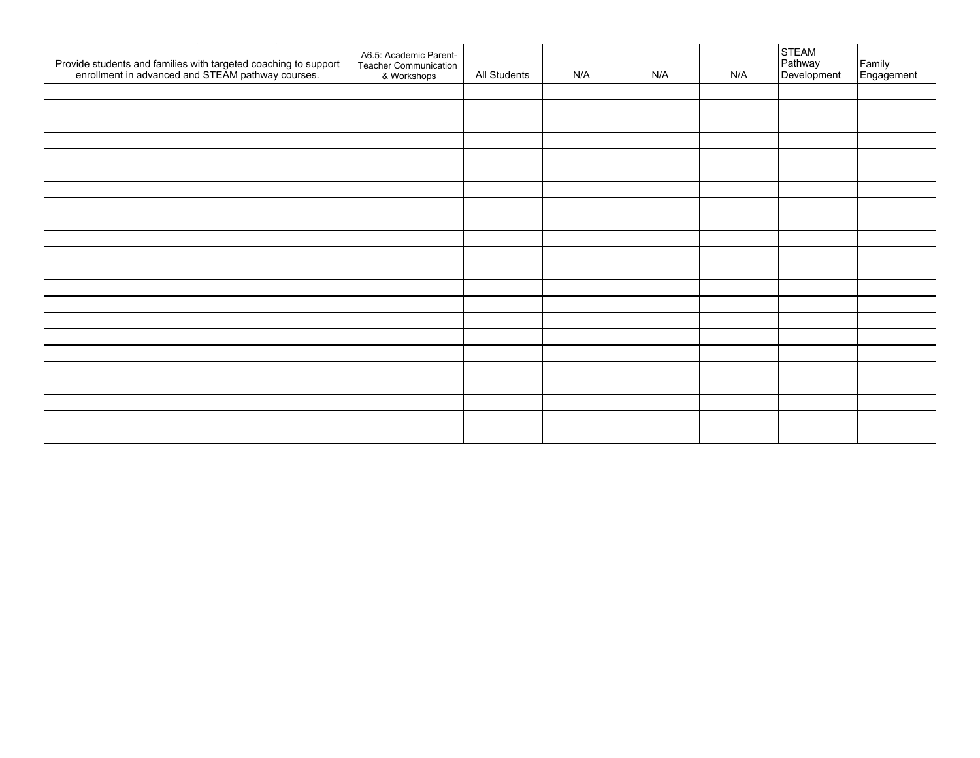| Provide students and families with targeted coaching to support<br>enrollment in advanced and STEAM pathway courses. | A6.5: Academic Parent-<br>Teacher Communication<br>& Workshops | All Students | N/A | N/A | N/A | STEAM<br>Pathway<br>Development | Family<br>Engagement |
|----------------------------------------------------------------------------------------------------------------------|----------------------------------------------------------------|--------------|-----|-----|-----|---------------------------------|----------------------|
|                                                                                                                      |                                                                |              |     |     |     |                                 |                      |
|                                                                                                                      |                                                                |              |     |     |     |                                 |                      |
|                                                                                                                      |                                                                |              |     |     |     |                                 |                      |
|                                                                                                                      |                                                                |              |     |     |     |                                 |                      |
|                                                                                                                      |                                                                |              |     |     |     |                                 |                      |
|                                                                                                                      |                                                                |              |     |     |     |                                 |                      |
|                                                                                                                      |                                                                |              |     |     |     |                                 |                      |
|                                                                                                                      |                                                                |              |     |     |     |                                 |                      |
|                                                                                                                      |                                                                |              |     |     |     |                                 |                      |
|                                                                                                                      |                                                                |              |     |     |     |                                 |                      |
|                                                                                                                      |                                                                |              |     |     |     |                                 |                      |
|                                                                                                                      |                                                                |              |     |     |     |                                 |                      |
|                                                                                                                      |                                                                |              |     |     |     |                                 |                      |
|                                                                                                                      |                                                                |              |     |     |     |                                 |                      |
|                                                                                                                      |                                                                |              |     |     |     |                                 |                      |
|                                                                                                                      |                                                                |              |     |     |     |                                 |                      |
|                                                                                                                      |                                                                |              |     |     |     |                                 |                      |
|                                                                                                                      |                                                                |              |     |     |     |                                 |                      |
|                                                                                                                      |                                                                |              |     |     |     |                                 |                      |
|                                                                                                                      |                                                                |              |     |     |     |                                 |                      |
|                                                                                                                      |                                                                |              |     |     |     |                                 |                      |
|                                                                                                                      |                                                                |              |     |     |     |                                 |                      |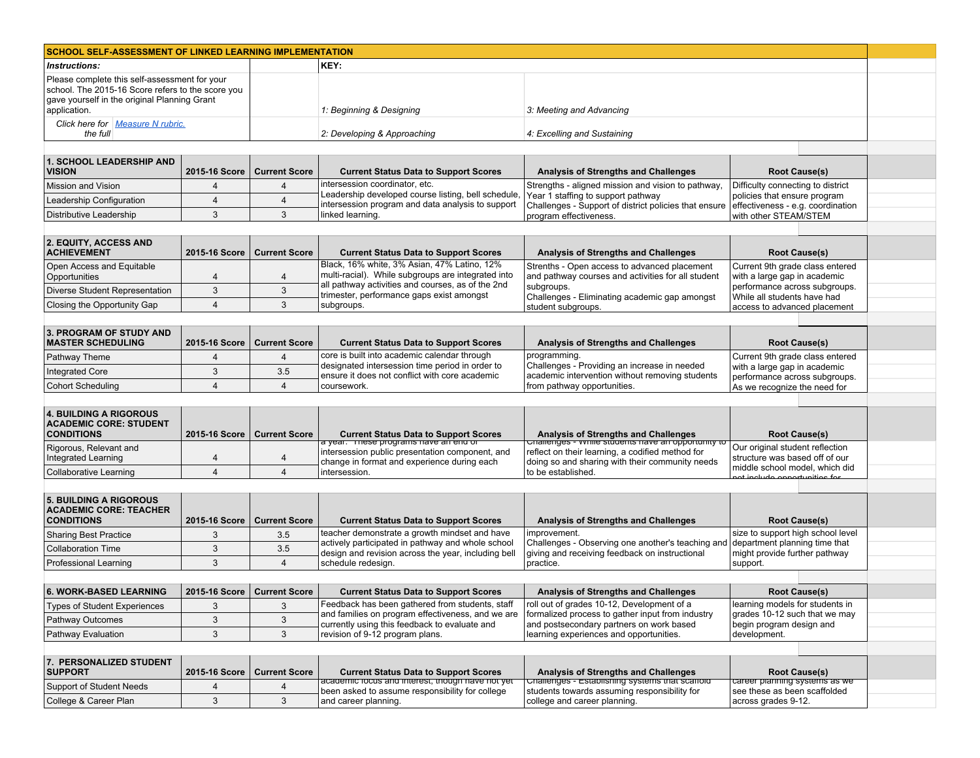| KEY:<br>Please complete this self-assessment for your<br>school. The 2015-16 Score refers to the score you<br>gave yourself in the original Planning Grant<br>1: Beginning & Designing<br>3: Meeting and Advancing<br>Click here for Measure N rubric.<br>the full<br>2: Developing & Approaching<br>4: Excelling and Sustaining<br>2015-16 Score<br><b>Current Score</b><br><b>Current Status Data to Support Scores</b><br>Analysis of Strengths and Challenges<br><b>Root Cause(s)</b><br>intersession coordinator, etc.<br>Strengths - aligned mission and vision to pathway,<br>Difficulty connecting to district<br>$\overline{4}$<br>$\overline{4}$<br>Leadership developed course listing, bell schedule,<br>Year 1 staffing to support pathway<br>policies that ensure program<br>4<br>4<br>intersession program and data analysis to support<br>Challenges - Support of district policies that ensure<br>effectiveness - e.g. coordination<br>3<br>3<br>linked learning.<br>program effectiveness.<br>with other STEAM/STEM<br><b>Current Score</b><br>2015-16 Score<br><b>Current Status Data to Support Scores</b><br><b>Analysis of Strengths and Challenges</b><br><b>Root Cause(s)</b><br>Black, 16% white, 3% Asian, 47% Latino, 12%<br>Strenths - Open access to advanced placement<br>Current 9th grade class entered<br>multi-racial). While subgroups are integrated into<br>and pathway courses and activities for all student<br>with a large gap in academic<br>4<br>4<br>all pathway activities and courses, as of the 2nd<br>subgroups.<br>performance across subgroups.<br>3<br>$\mathbf{3}$<br>Diverse Student Representation<br>trimester, performance gaps exist amongst<br>Challenges - Eliminating academic gap amongst<br>While all students have had<br>3<br>$\overline{4}$<br>subgroups.<br>student subgroups.<br>access to advanced placement<br>3. PROGRAM OF STUDY AND<br><b>MASTER SCHEDULING</b><br><b>Current Score</b><br>2015-16 Score<br><b>Current Status Data to Support Scores</b><br>Analysis of Strengths and Challenges<br><b>Root Cause(s)</b><br>core is built into academic calendar through<br>programming.<br>Current 9th grade class entered<br>Pathway Theme<br>$\overline{4}$<br>4<br>designated intersession time period in order to<br>Challenges - Providing an increase in needed<br>with a large gap in academic<br>3<br>3.5<br><b>Integrated Core</b><br>ensure it does not conflict with core academic<br>academic intervention without removing students<br>performance across subgroups.<br>$\overline{4}$<br>$\overline{4}$<br><b>Cohort Scheduling</b><br>coursework.<br>from pathway opportunities.<br>As we recognize the need for<br><b>Current Score</b><br>2015-16 Score<br><b>Current Status Data to Support Scores</b><br>Analysis of Strengths and Challenges<br><b>Root Cause(s)</b><br>challenges - while students have an opportunity to<br>a year. These programs have an end or<br>Our original student reflection<br>intersession public presentation component, and<br>reflect on their learning, a codified method for<br>Integrated Learning<br>structure was based off of our<br>4<br>4<br>change in format and experience during each<br>doing so and sharing with their community needs<br>middle school model, which did<br>$\overline{4}$<br>$\overline{4}$<br>to be established.<br><b>Collaborative Learning</b><br>intersession.<br>ot include opportunities for<br><b>Current Score</b><br>2015-16 Score<br><b>Current Status Data to Support Scores</b><br>Analysis of Strengths and Challenges<br><b>Root Cause(s)</b><br>teacher demonstrate a growth mindset and have<br>improvement.<br>size to support high school level<br>3<br>3.5<br>actively participated in pathway and whole school<br>Challenges - Observing one another's teaching and<br>department planning time that<br>3<br>3.5<br>design and revision across the year, including bell<br>giving and receiving feedback on instructional<br>might provide further pathway<br>3<br>$\overline{4}$<br>schedule redesign.<br>practice.<br>support.<br>2015-16 Score   Current Score<br><b>Current Status Data to Support Scores</b><br><b>Analysis of Strengths and Challenges</b><br><b>Root Cause(s)</b><br>Feedback has been gathered from students, staff<br>roll out of grades 10-12, Development of a<br>learning models for students in<br>3<br>3<br>and families on program effectiveness, and we are<br>formalized process to gather input from industry<br>grades 10-12 such that we may<br>$\mathbf{3}$<br>3<br>currently using this feedback to evaluate and<br>and postsecondary partners on work based<br>begin program design and<br>3<br>$\mathbf{3}$<br>revision of 9-12 program plans.<br>learning experiences and opportunities.<br>development.<br>2015-16 Score<br><b>Current Score</b><br><b>Current Status Data to Support Scores</b><br><b>Analysis of Strengths and Challenges</b><br><b>Root Cause(s)</b><br>academic rocus and interest, though have not yet<br>Challenges - Establishing systems that scartoid<br>career pianning systems as we | <b>SCHOOL SELF-ASSESSMENT OF LINKED LEARNING IMPLEMENTATION</b>                     |   |   |                                                 |                                              |                              |  |  |  |
|------------------------------------------------------------------------------------------------------------------------------------------------------------------------------------------------------------------------------------------------------------------------------------------------------------------------------------------------------------------------------------------------------------------------------------------------------------------------------------------------------------------------------------------------------------------------------------------------------------------------------------------------------------------------------------------------------------------------------------------------------------------------------------------------------------------------------------------------------------------------------------------------------------------------------------------------------------------------------------------------------------------------------------------------------------------------------------------------------------------------------------------------------------------------------------------------------------------------------------------------------------------------------------------------------------------------------------------------------------------------------------------------------------------------------------------------------------------------------------------------------------------------------------------------------------------------------------------------------------------------------------------------------------------------------------------------------------------------------------------------------------------------------------------------------------------------------------------------------------------------------------------------------------------------------------------------------------------------------------------------------------------------------------------------------------------------------------------------------------------------------------------------------------------------------------------------------------------------------------------------------------------------------------------------------------------------------------------------------------------------------------------------------------------------------------------------------------------------------------------------------------------------------------------------------------------------------------------------------------------------------------------------------------------------------------------------------------------------------------------------------------------------------------------------------------------------------------------------------------------------------------------------------------------------------------------------------------------------------------------------------------------------------------------------------------------------------------------------------------------------------------------------------------------------------------------------------------------------------------------------------------------------------------------------------------------------------------------------------------------------------------------------------------------------------------------------------------------------------------------------------------------------------------------------------------------------------------------------------------------------------------------------------------------------------------------------------------------------------------------------------------------------------------------------------------------------------------------------------------------------------------------------------------------------------------------------------------------------------------------------------------------------------------------------------------------------------------------------------------------------------------------------------------------------------------------------------------------------------------------------------------------------------------------------------------------------------------------------------------------------------------------------------------------------------------------------------------------------------------------------------------------------------------------------------------------------------------------------------------------------------------------------------------------------------------------------------------------------------------------------------------------------------------------------------------------------------------------------------------------------------------------------------------------------------------------------------------------------------------------------------------------------------------------------------------------------------------------------------------------------------------------|-------------------------------------------------------------------------------------|---|---|-------------------------------------------------|----------------------------------------------|------------------------------|--|--|--|
|                                                                                                                                                                                                                                                                                                                                                                                                                                                                                                                                                                                                                                                                                                                                                                                                                                                                                                                                                                                                                                                                                                                                                                                                                                                                                                                                                                                                                                                                                                                                                                                                                                                                                                                                                                                                                                                                                                                                                                                                                                                                                                                                                                                                                                                                                                                                                                                                                                                                                                                                                                                                                                                                                                                                                                                                                                                                                                                                                                                                                                                                                                                                                                                                                                                                                                                                                                                                                                                                                                                                                                                                                                                                                                                                                                                                                                                                                                                                                                                                                                                                                                                                                                                                                                                                                                                                                                                                                                                                                                                                                                                                                                                                                                                                                                                                                                                                                                                                                                                                                                                                                                                                          | Instructions:                                                                       |   |   |                                                 |                                              |                              |  |  |  |
|                                                                                                                                                                                                                                                                                                                                                                                                                                                                                                                                                                                                                                                                                                                                                                                                                                                                                                                                                                                                                                                                                                                                                                                                                                                                                                                                                                                                                                                                                                                                                                                                                                                                                                                                                                                                                                                                                                                                                                                                                                                                                                                                                                                                                                                                                                                                                                                                                                                                                                                                                                                                                                                                                                                                                                                                                                                                                                                                                                                                                                                                                                                                                                                                                                                                                                                                                                                                                                                                                                                                                                                                                                                                                                                                                                                                                                                                                                                                                                                                                                                                                                                                                                                                                                                                                                                                                                                                                                                                                                                                                                                                                                                                                                                                                                                                                                                                                                                                                                                                                                                                                                                                          | application.                                                                        |   |   |                                                 |                                              |                              |  |  |  |
|                                                                                                                                                                                                                                                                                                                                                                                                                                                                                                                                                                                                                                                                                                                                                                                                                                                                                                                                                                                                                                                                                                                                                                                                                                                                                                                                                                                                                                                                                                                                                                                                                                                                                                                                                                                                                                                                                                                                                                                                                                                                                                                                                                                                                                                                                                                                                                                                                                                                                                                                                                                                                                                                                                                                                                                                                                                                                                                                                                                                                                                                                                                                                                                                                                                                                                                                                                                                                                                                                                                                                                                                                                                                                                                                                                                                                                                                                                                                                                                                                                                                                                                                                                                                                                                                                                                                                                                                                                                                                                                                                                                                                                                                                                                                                                                                                                                                                                                                                                                                                                                                                                                                          |                                                                                     |   |   |                                                 |                                              |                              |  |  |  |
|                                                                                                                                                                                                                                                                                                                                                                                                                                                                                                                                                                                                                                                                                                                                                                                                                                                                                                                                                                                                                                                                                                                                                                                                                                                                                                                                                                                                                                                                                                                                                                                                                                                                                                                                                                                                                                                                                                                                                                                                                                                                                                                                                                                                                                                                                                                                                                                                                                                                                                                                                                                                                                                                                                                                                                                                                                                                                                                                                                                                                                                                                                                                                                                                                                                                                                                                                                                                                                                                                                                                                                                                                                                                                                                                                                                                                                                                                                                                                                                                                                                                                                                                                                                                                                                                                                                                                                                                                                                                                                                                                                                                                                                                                                                                                                                                                                                                                                                                                                                                                                                                                                                                          |                                                                                     |   |   |                                                 |                                              |                              |  |  |  |
|                                                                                                                                                                                                                                                                                                                                                                                                                                                                                                                                                                                                                                                                                                                                                                                                                                                                                                                                                                                                                                                                                                                                                                                                                                                                                                                                                                                                                                                                                                                                                                                                                                                                                                                                                                                                                                                                                                                                                                                                                                                                                                                                                                                                                                                                                                                                                                                                                                                                                                                                                                                                                                                                                                                                                                                                                                                                                                                                                                                                                                                                                                                                                                                                                                                                                                                                                                                                                                                                                                                                                                                                                                                                                                                                                                                                                                                                                                                                                                                                                                                                                                                                                                                                                                                                                                                                                                                                                                                                                                                                                                                                                                                                                                                                                                                                                                                                                                                                                                                                                                                                                                                                          | 1. SCHOOL LEADERSHIP AND<br><b>VISION</b>                                           |   |   |                                                 |                                              |                              |  |  |  |
|                                                                                                                                                                                                                                                                                                                                                                                                                                                                                                                                                                                                                                                                                                                                                                                                                                                                                                                                                                                                                                                                                                                                                                                                                                                                                                                                                                                                                                                                                                                                                                                                                                                                                                                                                                                                                                                                                                                                                                                                                                                                                                                                                                                                                                                                                                                                                                                                                                                                                                                                                                                                                                                                                                                                                                                                                                                                                                                                                                                                                                                                                                                                                                                                                                                                                                                                                                                                                                                                                                                                                                                                                                                                                                                                                                                                                                                                                                                                                                                                                                                                                                                                                                                                                                                                                                                                                                                                                                                                                                                                                                                                                                                                                                                                                                                                                                                                                                                                                                                                                                                                                                                                          | <b>Mission and Vision</b>                                                           |   |   |                                                 |                                              |                              |  |  |  |
|                                                                                                                                                                                                                                                                                                                                                                                                                                                                                                                                                                                                                                                                                                                                                                                                                                                                                                                                                                                                                                                                                                                                                                                                                                                                                                                                                                                                                                                                                                                                                                                                                                                                                                                                                                                                                                                                                                                                                                                                                                                                                                                                                                                                                                                                                                                                                                                                                                                                                                                                                                                                                                                                                                                                                                                                                                                                                                                                                                                                                                                                                                                                                                                                                                                                                                                                                                                                                                                                                                                                                                                                                                                                                                                                                                                                                                                                                                                                                                                                                                                                                                                                                                                                                                                                                                                                                                                                                                                                                                                                                                                                                                                                                                                                                                                                                                                                                                                                                                                                                                                                                                                                          | Leadership Configuration                                                            |   |   |                                                 |                                              |                              |  |  |  |
|                                                                                                                                                                                                                                                                                                                                                                                                                                                                                                                                                                                                                                                                                                                                                                                                                                                                                                                                                                                                                                                                                                                                                                                                                                                                                                                                                                                                                                                                                                                                                                                                                                                                                                                                                                                                                                                                                                                                                                                                                                                                                                                                                                                                                                                                                                                                                                                                                                                                                                                                                                                                                                                                                                                                                                                                                                                                                                                                                                                                                                                                                                                                                                                                                                                                                                                                                                                                                                                                                                                                                                                                                                                                                                                                                                                                                                                                                                                                                                                                                                                                                                                                                                                                                                                                                                                                                                                                                                                                                                                                                                                                                                                                                                                                                                                                                                                                                                                                                                                                                                                                                                                                          | Distributive Leadership                                                             |   |   |                                                 |                                              |                              |  |  |  |
|                                                                                                                                                                                                                                                                                                                                                                                                                                                                                                                                                                                                                                                                                                                                                                                                                                                                                                                                                                                                                                                                                                                                                                                                                                                                                                                                                                                                                                                                                                                                                                                                                                                                                                                                                                                                                                                                                                                                                                                                                                                                                                                                                                                                                                                                                                                                                                                                                                                                                                                                                                                                                                                                                                                                                                                                                                                                                                                                                                                                                                                                                                                                                                                                                                                                                                                                                                                                                                                                                                                                                                                                                                                                                                                                                                                                                                                                                                                                                                                                                                                                                                                                                                                                                                                                                                                                                                                                                                                                                                                                                                                                                                                                                                                                                                                                                                                                                                                                                                                                                                                                                                                                          |                                                                                     |   |   |                                                 |                                              |                              |  |  |  |
|                                                                                                                                                                                                                                                                                                                                                                                                                                                                                                                                                                                                                                                                                                                                                                                                                                                                                                                                                                                                                                                                                                                                                                                                                                                                                                                                                                                                                                                                                                                                                                                                                                                                                                                                                                                                                                                                                                                                                                                                                                                                                                                                                                                                                                                                                                                                                                                                                                                                                                                                                                                                                                                                                                                                                                                                                                                                                                                                                                                                                                                                                                                                                                                                                                                                                                                                                                                                                                                                                                                                                                                                                                                                                                                                                                                                                                                                                                                                                                                                                                                                                                                                                                                                                                                                                                                                                                                                                                                                                                                                                                                                                                                                                                                                                                                                                                                                                                                                                                                                                                                                                                                                          | 2. EQUITY, ACCESS AND<br><b>ACHIEVEMENT</b>                                         |   |   |                                                 |                                              |                              |  |  |  |
|                                                                                                                                                                                                                                                                                                                                                                                                                                                                                                                                                                                                                                                                                                                                                                                                                                                                                                                                                                                                                                                                                                                                                                                                                                                                                                                                                                                                                                                                                                                                                                                                                                                                                                                                                                                                                                                                                                                                                                                                                                                                                                                                                                                                                                                                                                                                                                                                                                                                                                                                                                                                                                                                                                                                                                                                                                                                                                                                                                                                                                                                                                                                                                                                                                                                                                                                                                                                                                                                                                                                                                                                                                                                                                                                                                                                                                                                                                                                                                                                                                                                                                                                                                                                                                                                                                                                                                                                                                                                                                                                                                                                                                                                                                                                                                                                                                                                                                                                                                                                                                                                                                                                          | Open Access and Equitable                                                           |   |   |                                                 |                                              |                              |  |  |  |
|                                                                                                                                                                                                                                                                                                                                                                                                                                                                                                                                                                                                                                                                                                                                                                                                                                                                                                                                                                                                                                                                                                                                                                                                                                                                                                                                                                                                                                                                                                                                                                                                                                                                                                                                                                                                                                                                                                                                                                                                                                                                                                                                                                                                                                                                                                                                                                                                                                                                                                                                                                                                                                                                                                                                                                                                                                                                                                                                                                                                                                                                                                                                                                                                                                                                                                                                                                                                                                                                                                                                                                                                                                                                                                                                                                                                                                                                                                                                                                                                                                                                                                                                                                                                                                                                                                                                                                                                                                                                                                                                                                                                                                                                                                                                                                                                                                                                                                                                                                                                                                                                                                                                          | Opportunities                                                                       |   |   |                                                 |                                              |                              |  |  |  |
|                                                                                                                                                                                                                                                                                                                                                                                                                                                                                                                                                                                                                                                                                                                                                                                                                                                                                                                                                                                                                                                                                                                                                                                                                                                                                                                                                                                                                                                                                                                                                                                                                                                                                                                                                                                                                                                                                                                                                                                                                                                                                                                                                                                                                                                                                                                                                                                                                                                                                                                                                                                                                                                                                                                                                                                                                                                                                                                                                                                                                                                                                                                                                                                                                                                                                                                                                                                                                                                                                                                                                                                                                                                                                                                                                                                                                                                                                                                                                                                                                                                                                                                                                                                                                                                                                                                                                                                                                                                                                                                                                                                                                                                                                                                                                                                                                                                                                                                                                                                                                                                                                                                                          |                                                                                     |   |   |                                                 |                                              |                              |  |  |  |
|                                                                                                                                                                                                                                                                                                                                                                                                                                                                                                                                                                                                                                                                                                                                                                                                                                                                                                                                                                                                                                                                                                                                                                                                                                                                                                                                                                                                                                                                                                                                                                                                                                                                                                                                                                                                                                                                                                                                                                                                                                                                                                                                                                                                                                                                                                                                                                                                                                                                                                                                                                                                                                                                                                                                                                                                                                                                                                                                                                                                                                                                                                                                                                                                                                                                                                                                                                                                                                                                                                                                                                                                                                                                                                                                                                                                                                                                                                                                                                                                                                                                                                                                                                                                                                                                                                                                                                                                                                                                                                                                                                                                                                                                                                                                                                                                                                                                                                                                                                                                                                                                                                                                          | Closing the Opportunity Gap                                                         |   |   |                                                 |                                              |                              |  |  |  |
|                                                                                                                                                                                                                                                                                                                                                                                                                                                                                                                                                                                                                                                                                                                                                                                                                                                                                                                                                                                                                                                                                                                                                                                                                                                                                                                                                                                                                                                                                                                                                                                                                                                                                                                                                                                                                                                                                                                                                                                                                                                                                                                                                                                                                                                                                                                                                                                                                                                                                                                                                                                                                                                                                                                                                                                                                                                                                                                                                                                                                                                                                                                                                                                                                                                                                                                                                                                                                                                                                                                                                                                                                                                                                                                                                                                                                                                                                                                                                                                                                                                                                                                                                                                                                                                                                                                                                                                                                                                                                                                                                                                                                                                                                                                                                                                                                                                                                                                                                                                                                                                                                                                                          |                                                                                     |   |   |                                                 |                                              |                              |  |  |  |
|                                                                                                                                                                                                                                                                                                                                                                                                                                                                                                                                                                                                                                                                                                                                                                                                                                                                                                                                                                                                                                                                                                                                                                                                                                                                                                                                                                                                                                                                                                                                                                                                                                                                                                                                                                                                                                                                                                                                                                                                                                                                                                                                                                                                                                                                                                                                                                                                                                                                                                                                                                                                                                                                                                                                                                                                                                                                                                                                                                                                                                                                                                                                                                                                                                                                                                                                                                                                                                                                                                                                                                                                                                                                                                                                                                                                                                                                                                                                                                                                                                                                                                                                                                                                                                                                                                                                                                                                                                                                                                                                                                                                                                                                                                                                                                                                                                                                                                                                                                                                                                                                                                                                          |                                                                                     |   |   |                                                 |                                              |                              |  |  |  |
|                                                                                                                                                                                                                                                                                                                                                                                                                                                                                                                                                                                                                                                                                                                                                                                                                                                                                                                                                                                                                                                                                                                                                                                                                                                                                                                                                                                                                                                                                                                                                                                                                                                                                                                                                                                                                                                                                                                                                                                                                                                                                                                                                                                                                                                                                                                                                                                                                                                                                                                                                                                                                                                                                                                                                                                                                                                                                                                                                                                                                                                                                                                                                                                                                                                                                                                                                                                                                                                                                                                                                                                                                                                                                                                                                                                                                                                                                                                                                                                                                                                                                                                                                                                                                                                                                                                                                                                                                                                                                                                                                                                                                                                                                                                                                                                                                                                                                                                                                                                                                                                                                                                                          |                                                                                     |   |   |                                                 |                                              |                              |  |  |  |
|                                                                                                                                                                                                                                                                                                                                                                                                                                                                                                                                                                                                                                                                                                                                                                                                                                                                                                                                                                                                                                                                                                                                                                                                                                                                                                                                                                                                                                                                                                                                                                                                                                                                                                                                                                                                                                                                                                                                                                                                                                                                                                                                                                                                                                                                                                                                                                                                                                                                                                                                                                                                                                                                                                                                                                                                                                                                                                                                                                                                                                                                                                                                                                                                                                                                                                                                                                                                                                                                                                                                                                                                                                                                                                                                                                                                                                                                                                                                                                                                                                                                                                                                                                                                                                                                                                                                                                                                                                                                                                                                                                                                                                                                                                                                                                                                                                                                                                                                                                                                                                                                                                                                          |                                                                                     |   |   |                                                 |                                              |                              |  |  |  |
|                                                                                                                                                                                                                                                                                                                                                                                                                                                                                                                                                                                                                                                                                                                                                                                                                                                                                                                                                                                                                                                                                                                                                                                                                                                                                                                                                                                                                                                                                                                                                                                                                                                                                                                                                                                                                                                                                                                                                                                                                                                                                                                                                                                                                                                                                                                                                                                                                                                                                                                                                                                                                                                                                                                                                                                                                                                                                                                                                                                                                                                                                                                                                                                                                                                                                                                                                                                                                                                                                                                                                                                                                                                                                                                                                                                                                                                                                                                                                                                                                                                                                                                                                                                                                                                                                                                                                                                                                                                                                                                                                                                                                                                                                                                                                                                                                                                                                                                                                                                                                                                                                                                                          |                                                                                     |   |   |                                                 |                                              |                              |  |  |  |
|                                                                                                                                                                                                                                                                                                                                                                                                                                                                                                                                                                                                                                                                                                                                                                                                                                                                                                                                                                                                                                                                                                                                                                                                                                                                                                                                                                                                                                                                                                                                                                                                                                                                                                                                                                                                                                                                                                                                                                                                                                                                                                                                                                                                                                                                                                                                                                                                                                                                                                                                                                                                                                                                                                                                                                                                                                                                                                                                                                                                                                                                                                                                                                                                                                                                                                                                                                                                                                                                                                                                                                                                                                                                                                                                                                                                                                                                                                                                                                                                                                                                                                                                                                                                                                                                                                                                                                                                                                                                                                                                                                                                                                                                                                                                                                                                                                                                                                                                                                                                                                                                                                                                          |                                                                                     |   |   |                                                 |                                              |                              |  |  |  |
|                                                                                                                                                                                                                                                                                                                                                                                                                                                                                                                                                                                                                                                                                                                                                                                                                                                                                                                                                                                                                                                                                                                                                                                                                                                                                                                                                                                                                                                                                                                                                                                                                                                                                                                                                                                                                                                                                                                                                                                                                                                                                                                                                                                                                                                                                                                                                                                                                                                                                                                                                                                                                                                                                                                                                                                                                                                                                                                                                                                                                                                                                                                                                                                                                                                                                                                                                                                                                                                                                                                                                                                                                                                                                                                                                                                                                                                                                                                                                                                                                                                                                                                                                                                                                                                                                                                                                                                                                                                                                                                                                                                                                                                                                                                                                                                                                                                                                                                                                                                                                                                                                                                                          | <b>4. BUILDING A RIGOROUS</b><br><b>ACADEMIC CORE: STUDENT</b><br><b>CONDITIONS</b> |   |   |                                                 |                                              |                              |  |  |  |
|                                                                                                                                                                                                                                                                                                                                                                                                                                                                                                                                                                                                                                                                                                                                                                                                                                                                                                                                                                                                                                                                                                                                                                                                                                                                                                                                                                                                                                                                                                                                                                                                                                                                                                                                                                                                                                                                                                                                                                                                                                                                                                                                                                                                                                                                                                                                                                                                                                                                                                                                                                                                                                                                                                                                                                                                                                                                                                                                                                                                                                                                                                                                                                                                                                                                                                                                                                                                                                                                                                                                                                                                                                                                                                                                                                                                                                                                                                                                                                                                                                                                                                                                                                                                                                                                                                                                                                                                                                                                                                                                                                                                                                                                                                                                                                                                                                                                                                                                                                                                                                                                                                                                          | Rigorous, Relevant and                                                              |   |   |                                                 |                                              |                              |  |  |  |
|                                                                                                                                                                                                                                                                                                                                                                                                                                                                                                                                                                                                                                                                                                                                                                                                                                                                                                                                                                                                                                                                                                                                                                                                                                                                                                                                                                                                                                                                                                                                                                                                                                                                                                                                                                                                                                                                                                                                                                                                                                                                                                                                                                                                                                                                                                                                                                                                                                                                                                                                                                                                                                                                                                                                                                                                                                                                                                                                                                                                                                                                                                                                                                                                                                                                                                                                                                                                                                                                                                                                                                                                                                                                                                                                                                                                                                                                                                                                                                                                                                                                                                                                                                                                                                                                                                                                                                                                                                                                                                                                                                                                                                                                                                                                                                                                                                                                                                                                                                                                                                                                                                                                          |                                                                                     |   |   |                                                 |                                              |                              |  |  |  |
|                                                                                                                                                                                                                                                                                                                                                                                                                                                                                                                                                                                                                                                                                                                                                                                                                                                                                                                                                                                                                                                                                                                                                                                                                                                                                                                                                                                                                                                                                                                                                                                                                                                                                                                                                                                                                                                                                                                                                                                                                                                                                                                                                                                                                                                                                                                                                                                                                                                                                                                                                                                                                                                                                                                                                                                                                                                                                                                                                                                                                                                                                                                                                                                                                                                                                                                                                                                                                                                                                                                                                                                                                                                                                                                                                                                                                                                                                                                                                                                                                                                                                                                                                                                                                                                                                                                                                                                                                                                                                                                                                                                                                                                                                                                                                                                                                                                                                                                                                                                                                                                                                                                                          |                                                                                     |   |   |                                                 |                                              |                              |  |  |  |
|                                                                                                                                                                                                                                                                                                                                                                                                                                                                                                                                                                                                                                                                                                                                                                                                                                                                                                                                                                                                                                                                                                                                                                                                                                                                                                                                                                                                                                                                                                                                                                                                                                                                                                                                                                                                                                                                                                                                                                                                                                                                                                                                                                                                                                                                                                                                                                                                                                                                                                                                                                                                                                                                                                                                                                                                                                                                                                                                                                                                                                                                                                                                                                                                                                                                                                                                                                                                                                                                                                                                                                                                                                                                                                                                                                                                                                                                                                                                                                                                                                                                                                                                                                                                                                                                                                                                                                                                                                                                                                                                                                                                                                                                                                                                                                                                                                                                                                                                                                                                                                                                                                                                          | <b>5. BUILDING A RIGOROUS</b><br><b>ACADEMIC CORE: TEACHER</b><br><b>CONDITIONS</b> |   |   |                                                 |                                              |                              |  |  |  |
|                                                                                                                                                                                                                                                                                                                                                                                                                                                                                                                                                                                                                                                                                                                                                                                                                                                                                                                                                                                                                                                                                                                                                                                                                                                                                                                                                                                                                                                                                                                                                                                                                                                                                                                                                                                                                                                                                                                                                                                                                                                                                                                                                                                                                                                                                                                                                                                                                                                                                                                                                                                                                                                                                                                                                                                                                                                                                                                                                                                                                                                                                                                                                                                                                                                                                                                                                                                                                                                                                                                                                                                                                                                                                                                                                                                                                                                                                                                                                                                                                                                                                                                                                                                                                                                                                                                                                                                                                                                                                                                                                                                                                                                                                                                                                                                                                                                                                                                                                                                                                                                                                                                                          | <b>Sharing Best Practice</b>                                                        |   |   |                                                 |                                              |                              |  |  |  |
|                                                                                                                                                                                                                                                                                                                                                                                                                                                                                                                                                                                                                                                                                                                                                                                                                                                                                                                                                                                                                                                                                                                                                                                                                                                                                                                                                                                                                                                                                                                                                                                                                                                                                                                                                                                                                                                                                                                                                                                                                                                                                                                                                                                                                                                                                                                                                                                                                                                                                                                                                                                                                                                                                                                                                                                                                                                                                                                                                                                                                                                                                                                                                                                                                                                                                                                                                                                                                                                                                                                                                                                                                                                                                                                                                                                                                                                                                                                                                                                                                                                                                                                                                                                                                                                                                                                                                                                                                                                                                                                                                                                                                                                                                                                                                                                                                                                                                                                                                                                                                                                                                                                                          | <b>Collaboration Time</b>                                                           |   |   |                                                 |                                              |                              |  |  |  |
|                                                                                                                                                                                                                                                                                                                                                                                                                                                                                                                                                                                                                                                                                                                                                                                                                                                                                                                                                                                                                                                                                                                                                                                                                                                                                                                                                                                                                                                                                                                                                                                                                                                                                                                                                                                                                                                                                                                                                                                                                                                                                                                                                                                                                                                                                                                                                                                                                                                                                                                                                                                                                                                                                                                                                                                                                                                                                                                                                                                                                                                                                                                                                                                                                                                                                                                                                                                                                                                                                                                                                                                                                                                                                                                                                                                                                                                                                                                                                                                                                                                                                                                                                                                                                                                                                                                                                                                                                                                                                                                                                                                                                                                                                                                                                                                                                                                                                                                                                                                                                                                                                                                                          | <b>Professional Learning</b>                                                        |   |   |                                                 |                                              |                              |  |  |  |
|                                                                                                                                                                                                                                                                                                                                                                                                                                                                                                                                                                                                                                                                                                                                                                                                                                                                                                                                                                                                                                                                                                                                                                                                                                                                                                                                                                                                                                                                                                                                                                                                                                                                                                                                                                                                                                                                                                                                                                                                                                                                                                                                                                                                                                                                                                                                                                                                                                                                                                                                                                                                                                                                                                                                                                                                                                                                                                                                                                                                                                                                                                                                                                                                                                                                                                                                                                                                                                                                                                                                                                                                                                                                                                                                                                                                                                                                                                                                                                                                                                                                                                                                                                                                                                                                                                                                                                                                                                                                                                                                                                                                                                                                                                                                                                                                                                                                                                                                                                                                                                                                                                                                          |                                                                                     |   |   |                                                 |                                              |                              |  |  |  |
|                                                                                                                                                                                                                                                                                                                                                                                                                                                                                                                                                                                                                                                                                                                                                                                                                                                                                                                                                                                                                                                                                                                                                                                                                                                                                                                                                                                                                                                                                                                                                                                                                                                                                                                                                                                                                                                                                                                                                                                                                                                                                                                                                                                                                                                                                                                                                                                                                                                                                                                                                                                                                                                                                                                                                                                                                                                                                                                                                                                                                                                                                                                                                                                                                                                                                                                                                                                                                                                                                                                                                                                                                                                                                                                                                                                                                                                                                                                                                                                                                                                                                                                                                                                                                                                                                                                                                                                                                                                                                                                                                                                                                                                                                                                                                                                                                                                                                                                                                                                                                                                                                                                                          | <b>6. WORK-BASED LEARNING</b>                                                       |   |   |                                                 |                                              |                              |  |  |  |
|                                                                                                                                                                                                                                                                                                                                                                                                                                                                                                                                                                                                                                                                                                                                                                                                                                                                                                                                                                                                                                                                                                                                                                                                                                                                                                                                                                                                                                                                                                                                                                                                                                                                                                                                                                                                                                                                                                                                                                                                                                                                                                                                                                                                                                                                                                                                                                                                                                                                                                                                                                                                                                                                                                                                                                                                                                                                                                                                                                                                                                                                                                                                                                                                                                                                                                                                                                                                                                                                                                                                                                                                                                                                                                                                                                                                                                                                                                                                                                                                                                                                                                                                                                                                                                                                                                                                                                                                                                                                                                                                                                                                                                                                                                                                                                                                                                                                                                                                                                                                                                                                                                                                          | Types of Student Experiences                                                        |   |   |                                                 |                                              |                              |  |  |  |
|                                                                                                                                                                                                                                                                                                                                                                                                                                                                                                                                                                                                                                                                                                                                                                                                                                                                                                                                                                                                                                                                                                                                                                                                                                                                                                                                                                                                                                                                                                                                                                                                                                                                                                                                                                                                                                                                                                                                                                                                                                                                                                                                                                                                                                                                                                                                                                                                                                                                                                                                                                                                                                                                                                                                                                                                                                                                                                                                                                                                                                                                                                                                                                                                                                                                                                                                                                                                                                                                                                                                                                                                                                                                                                                                                                                                                                                                                                                                                                                                                                                                                                                                                                                                                                                                                                                                                                                                                                                                                                                                                                                                                                                                                                                                                                                                                                                                                                                                                                                                                                                                                                                                          | <b>Pathway Outcomes</b>                                                             |   |   |                                                 |                                              |                              |  |  |  |
|                                                                                                                                                                                                                                                                                                                                                                                                                                                                                                                                                                                                                                                                                                                                                                                                                                                                                                                                                                                                                                                                                                                                                                                                                                                                                                                                                                                                                                                                                                                                                                                                                                                                                                                                                                                                                                                                                                                                                                                                                                                                                                                                                                                                                                                                                                                                                                                                                                                                                                                                                                                                                                                                                                                                                                                                                                                                                                                                                                                                                                                                                                                                                                                                                                                                                                                                                                                                                                                                                                                                                                                                                                                                                                                                                                                                                                                                                                                                                                                                                                                                                                                                                                                                                                                                                                                                                                                                                                                                                                                                                                                                                                                                                                                                                                                                                                                                                                                                                                                                                                                                                                                                          | Pathway Evaluation                                                                  |   |   |                                                 |                                              |                              |  |  |  |
|                                                                                                                                                                                                                                                                                                                                                                                                                                                                                                                                                                                                                                                                                                                                                                                                                                                                                                                                                                                                                                                                                                                                                                                                                                                                                                                                                                                                                                                                                                                                                                                                                                                                                                                                                                                                                                                                                                                                                                                                                                                                                                                                                                                                                                                                                                                                                                                                                                                                                                                                                                                                                                                                                                                                                                                                                                                                                                                                                                                                                                                                                                                                                                                                                                                                                                                                                                                                                                                                                                                                                                                                                                                                                                                                                                                                                                                                                                                                                                                                                                                                                                                                                                                                                                                                                                                                                                                                                                                                                                                                                                                                                                                                                                                                                                                                                                                                                                                                                                                                                                                                                                                                          |                                                                                     |   |   |                                                 |                                              |                              |  |  |  |
|                                                                                                                                                                                                                                                                                                                                                                                                                                                                                                                                                                                                                                                                                                                                                                                                                                                                                                                                                                                                                                                                                                                                                                                                                                                                                                                                                                                                                                                                                                                                                                                                                                                                                                                                                                                                                                                                                                                                                                                                                                                                                                                                                                                                                                                                                                                                                                                                                                                                                                                                                                                                                                                                                                                                                                                                                                                                                                                                                                                                                                                                                                                                                                                                                                                                                                                                                                                                                                                                                                                                                                                                                                                                                                                                                                                                                                                                                                                                                                                                                                                                                                                                                                                                                                                                                                                                                                                                                                                                                                                                                                                                                                                                                                                                                                                                                                                                                                                                                                                                                                                                                                                                          | 7. PERSONALIZED STUDENT<br><b>SUPPORT</b>                                           |   |   |                                                 |                                              |                              |  |  |  |
|                                                                                                                                                                                                                                                                                                                                                                                                                                                                                                                                                                                                                                                                                                                                                                                                                                                                                                                                                                                                                                                                                                                                                                                                                                                                                                                                                                                                                                                                                                                                                                                                                                                                                                                                                                                                                                                                                                                                                                                                                                                                                                                                                                                                                                                                                                                                                                                                                                                                                                                                                                                                                                                                                                                                                                                                                                                                                                                                                                                                                                                                                                                                                                                                                                                                                                                                                                                                                                                                                                                                                                                                                                                                                                                                                                                                                                                                                                                                                                                                                                                                                                                                                                                                                                                                                                                                                                                                                                                                                                                                                                                                                                                                                                                                                                                                                                                                                                                                                                                                                                                                                                                                          | Support of Student Needs                                                            | 4 | 4 | been asked to assume responsibility for college | students towards assuming responsibility for | see these as been scaffolded |  |  |  |
| $\mathbf{3}$<br>3<br>and career planning.<br>college and career planning.<br>across grades 9-12.                                                                                                                                                                                                                                                                                                                                                                                                                                                                                                                                                                                                                                                                                                                                                                                                                                                                                                                                                                                                                                                                                                                                                                                                                                                                                                                                                                                                                                                                                                                                                                                                                                                                                                                                                                                                                                                                                                                                                                                                                                                                                                                                                                                                                                                                                                                                                                                                                                                                                                                                                                                                                                                                                                                                                                                                                                                                                                                                                                                                                                                                                                                                                                                                                                                                                                                                                                                                                                                                                                                                                                                                                                                                                                                                                                                                                                                                                                                                                                                                                                                                                                                                                                                                                                                                                                                                                                                                                                                                                                                                                                                                                                                                                                                                                                                                                                                                                                                                                                                                                                         | College & Career Plan                                                               |   |   |                                                 |                                              |                              |  |  |  |